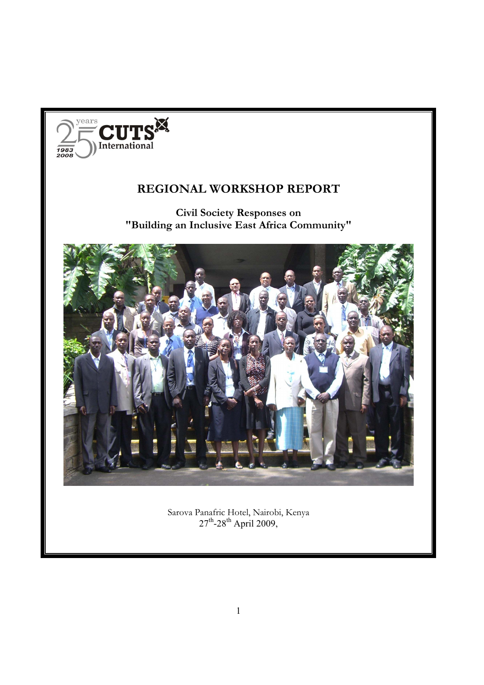

# **REGIONAL WORKSHOP REPORT**

**Civil Society Responses on "Building an Inclusive East Africa Community"** 



Sarova Panafric Hotel, Nairobi, Kenya  $27^{\text{th}}$ -28<sup>th</sup> April 2009,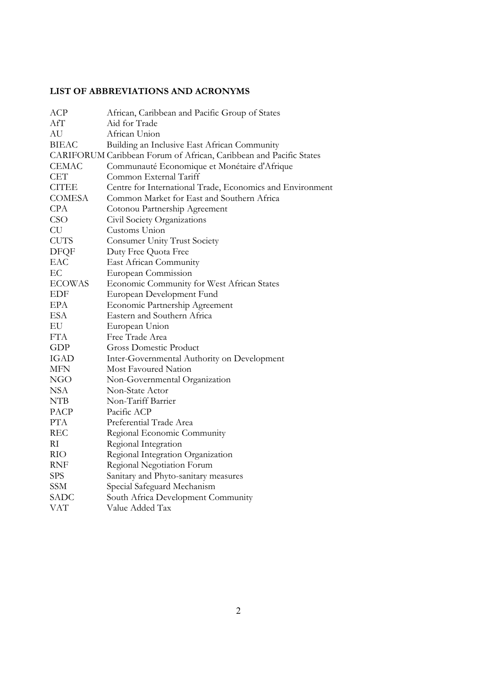# **LIST OF ABBREVIATIONS AND ACRONYMS**

| <b>ACP</b>    | African, Caribbean and Pacific Group of States                     |
|---------------|--------------------------------------------------------------------|
| AfT           | Aid for Trade                                                      |
| AU            | African Union                                                      |
| <b>BIEAC</b>  | Building an Inclusive East African Community                       |
|               | CARIFORUM Caribbean Forum of African, Caribbean and Pacific States |
| <b>CEMAC</b>  | Communauté Economique et Monétaire d'Afrique                       |
| <b>CET</b>    | Common External Tariff                                             |
| <b>CITEE</b>  | Centre for International Trade, Economics and Environment          |
| <b>COMESA</b> | Common Market for East and Southern Africa                         |
| <b>CPA</b>    | Cotonou Partnership Agreement                                      |
| <b>CSO</b>    | Civil Society Organizations                                        |
| CU            | Customs Union                                                      |
| <b>CUTS</b>   | <b>Consumer Unity Trust Society</b>                                |
| <b>DFQF</b>   | Duty Free Quota Free                                               |
| EAC           | East African Community                                             |
| EC            | European Commission                                                |
| <b>ECOWAS</b> | Economic Community for West African States                         |
| <b>EDF</b>    | European Development Fund                                          |
| <b>EPA</b>    | Economic Partnership Agreement                                     |
| <b>ESA</b>    | Eastern and Southern Africa                                        |
| EU            | European Union                                                     |
| <b>FTA</b>    | Free Trade Area                                                    |
| <b>GDP</b>    | <b>Gross Domestic Product</b>                                      |
| <b>IGAD</b>   | Inter-Governmental Authority on Development                        |
| <b>MFN</b>    | Most Favoured Nation                                               |
| <b>NGO</b>    | Non-Governmental Organization                                      |
| <b>NSA</b>    | Non-State Actor                                                    |
| <b>NTB</b>    | Non-Tariff Barrier                                                 |
| PACP          | Pacific ACP                                                        |
| <b>PTA</b>    | Preferential Trade Area                                            |
| <b>REC</b>    | Regional Economic Community                                        |
| RI            | Regional Integration                                               |
| <b>RIO</b>    | Regional Integration Organization                                  |
| <b>RNF</b>    | Regional Negotiation Forum                                         |
| <b>SPS</b>    | Sanitary and Phyto-sanitary measures                               |
| <b>SSM</b>    | Special Safeguard Mechanism                                        |
| <b>SADC</b>   | South Africa Development Community                                 |
| VAT           | Value Added Tax                                                    |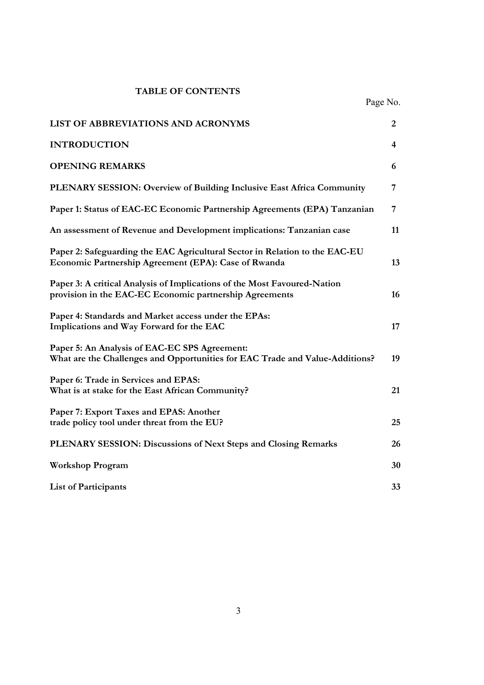# **TABLE OF CONTENTS**

Page No.

| LIST OF ABBREVIATIONS AND ACRONYMS                                                                                                  | 2  |
|-------------------------------------------------------------------------------------------------------------------------------------|----|
| <b>INTRODUCTION</b>                                                                                                                 | 4  |
| <b>OPENING REMARKS</b>                                                                                                              | 6  |
| PLENARY SESSION: Overview of Building Inclusive East Africa Community                                                               | 7  |
| Paper 1: Status of EAC-EC Economic Partnership Agreements (EPA) Tanzanian                                                           | 7  |
| An assessment of Revenue and Development implications: Tanzanian case                                                               | 11 |
| Paper 2: Safeguarding the EAC Agricultural Sector in Relation to the EAC-EU<br>Economic Partnership Agreement (EPA): Case of Rwanda | 13 |
| Paper 3: A critical Analysis of Implications of the Most Favoured-Nation<br>provision in the EAC-EC Economic partnership Agreements | 16 |
| Paper 4: Standards and Market access under the EPAs:<br>Implications and Way Forward for the EAC                                    | 17 |
| Paper 5: An Analysis of EAC-EC SPS Agreement:<br>What are the Challenges and Opportunities for EAC Trade and Value-Additions?       | 19 |
| Paper 6: Trade in Services and EPAS:<br>What is at stake for the East African Community?                                            | 21 |
| Paper 7: Export Taxes and EPAS: Another<br>trade policy tool under threat from the EU?                                              | 25 |
| PLENARY SESSION: Discussions of Next Steps and Closing Remarks                                                                      | 26 |
| <b>Workshop Program</b>                                                                                                             | 30 |
| <b>List of Participants</b>                                                                                                         | 33 |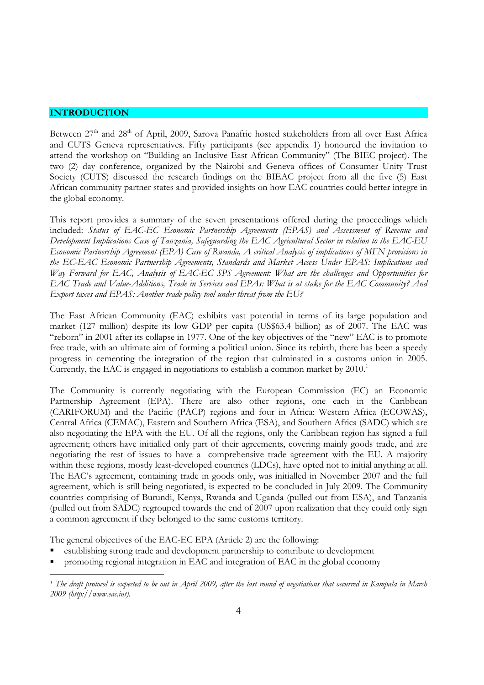# **INTRODUCTION**

 $\overline{a}$ 

Between 27<sup>th</sup> and 28<sup>th</sup> of April, 2009, Sarova Panafric hosted stakeholders from all over East Africa and CUTS Geneva representatives. Fifty participants (see appendix 1) honoured the invitation to attend the workshop on "Building an Inclusive East African Community" (The BIEC project). The two (2) day conference, organized by the Nairobi and Geneva offices of Consumer Unity Trust Society (CUTS) discussed the research findings on the BIEAC project from all the five (5) East African community partner states and provided insights on how EAC countries could better integre in the global economy.

This report provides a summary of the seven presentations offered during the proceedings which included: *Status of EAC-EC Economic Partnership Agreements (EPAS) and Assessment of Revenue and Development Implications Case of Tanzania, Safeguarding the EAC Agricultural Sector in relation to the EAC-EU Economic Partnership Agreement (EPA) Case of Rwanda, A critical Analysis of implications of MFN provisions in the EC-EAC Economic Partnership Agreements, Standards and Market Access Under EPAS: Implications and Way Forward for EAC, Analysis of EAC-EC SPS Agreement: What are the challenges and Opportunities for EAC Trade and Value-Additions, Trade in Services and EPAs: What is at stake for the EAC Community? And Export taxes and EPAS: Another trade policy tool under threat from the EU?* 

The East African Community (EAC) exhibits vast potential in terms of its large population and market (127 million) despite its low GDP per capita (US\$63.4 billion) as of 2007. The EAC was "reborn" in 2001 after its collapse in 1977. One of the key objectives of the "new" EAC is to promote free trade, with an ultimate aim of forming a political union. Since its rebirth, there has been a speedy progress in cementing the integration of the region that culminated in a customs union in 2005. Currently, the EAC is engaged in negotiations to establish a common market by  $2010<sup>1</sup>$ 

The Community is currently negotiating with the European Commission (EC) an Economic Partnership Agreement (EPA). There are also other regions, one each in the Caribbean (CARIFORUM) and the Pacific (PACP) regions and four in Africa: Western Africa (ECOWAS), Central Africa (CEMAC), Eastern and Southern Africa (ESA), and Southern Africa (SADC) which are also negotiating the EPA with the EU. Of all the regions, only the Caribbean region has signed a full agreement; others have initialled only part of their agreements, covering mainly goods trade, and are negotiating the rest of issues to have a comprehensive trade agreement with the EU. A majority within these regions, mostly least-developed countries (LDCs), have opted not to initial anything at all. The EAC's agreement, containing trade in goods only, was initialled in November 2007 and the full agreement, which is still being negotiated, is expected to be concluded in July 2009. The Community countries comprising of Burundi, Kenya, Rwanda and Uganda (pulled out from ESA), and Tanzania (pulled out from SADC) regrouped towards the end of 2007 upon realization that they could only sign a common agreement if they belonged to the same customs territory.

The general objectives of the EAC-EC EPA (Article 2) are the following:

- establishing strong trade and development partnership to contribute to development
- promoting regional integration in EAC and integration of EAC in the global economy

*<sup>1</sup> The draft protocol is expected to be out in April 2009, after the last round of negotiations that occurred in Kampala in March 2009 (http://www.eac.int).*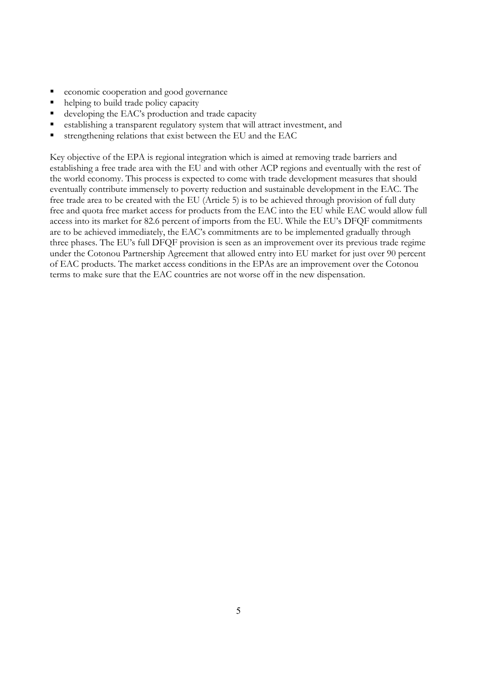- economic cooperation and good governance
- helping to build trade policy capacity
- developing the EAC's production and trade capacity
- establishing a transparent regulatory system that will attract investment, and
- strengthening relations that exist between the EU and the EAC

Key objective of the EPA is regional integration which is aimed at removing trade barriers and establishing a free trade area with the EU and with other ACP regions and eventually with the rest of the world economy. This process is expected to come with trade development measures that should eventually contribute immensely to poverty reduction and sustainable development in the EAC. The free trade area to be created with the EU (Article 5) is to be achieved through provision of full duty free and quota free market access for products from the EAC into the EU while EAC would allow full access into its market for 82.6 percent of imports from the EU. While the EU's DFQF commitments are to be achieved immediately, the EAC's commitments are to be implemented gradually through three phases. The EU's full DFQF provision is seen as an improvement over its previous trade regime under the Cotonou Partnership Agreement that allowed entry into EU market for just over 90 percent of EAC products. The market access conditions in the EPAs are an improvement over the Cotonou terms to make sure that the EAC countries are not worse off in the new dispensation.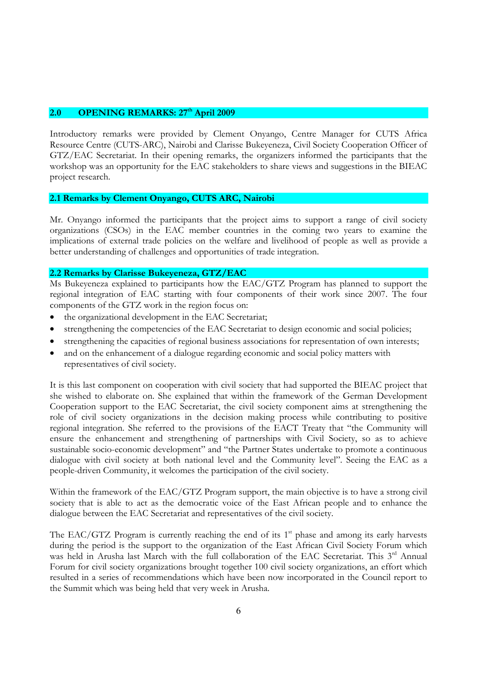# 2.0 OPENING REMARKS: 27<sup>th</sup> April 2009

Introductory remarks were provided by Clement Onyango, Centre Manager for CUTS Africa Resource Centre (CUTS-ARC), Nairobi and Clarisse Bukeyeneza, Civil Society Cooperation Officer of GTZ/EAC Secretariat. In their opening remarks, the organizers informed the participants that the workshop was an opportunity for the EAC stakeholders to share views and suggestions in the BIEAC project research.

### **2.1 Remarks by Clement Onyango, CUTS ARC, Nairobi**

Mr. Onyango informed the participants that the project aims to support a range of civil society organizations (CSOs) in the EAC member countries in the coming two years to examine the implications of external trade policies on the welfare and livelihood of people as well as provide a better understanding of challenges and opportunities of trade integration.

# **2.2 Remarks by Clarisse Bukeyeneza, GTZ/EAC**

Ms Bukeyeneza explained to participants how the EAC/GTZ Program has planned to support the regional integration of EAC starting with four components of their work since 2007. The four components of the GTZ work in the region focus on:

- the organizational development in the EAC Secretariat:
- strengthening the competencies of the EAC Secretariat to design economic and social policies;
- strengthening the capacities of regional business associations for representation of own interests;
- and on the enhancement of a dialogue regarding economic and social policy matters with representatives of civil society.

It is this last component on cooperation with civil society that had supported the BIEAC project that she wished to elaborate on. She explained that within the framework of the German Development Cooperation support to the EAC Secretariat, the civil society component aims at strengthening the role of civil society organizations in the decision making process while contributing to positive regional integration. She referred to the provisions of the EACT Treaty that "the Community will ensure the enhancement and strengthening of partnerships with Civil Society, so as to achieve sustainable socio-economic development" and "the Partner States undertake to promote a continuous dialogue with civil society at both national level and the Community level". Seeing the EAC as a people-driven Community, it welcomes the participation of the civil society.

Within the framework of the EAC/GTZ Program support, the main objective is to have a strong civil society that is able to act as the democratic voice of the East African people and to enhance the dialogue between the EAC Secretariat and representatives of the civil society.

The EAC/GTZ Program is currently reaching the end of its  $1<sup>st</sup>$  phase and among its early harvests during the period is the support to the organization of the East African Civil Society Forum which was held in Arusha last March with the full collaboration of the EAC Secretariat. This 3<sup>rd</sup> Annual Forum for civil society organizations brought together 100 civil society organizations, an effort which resulted in a series of recommendations which have been now incorporated in the Council report to the Summit which was being held that very week in Arusha.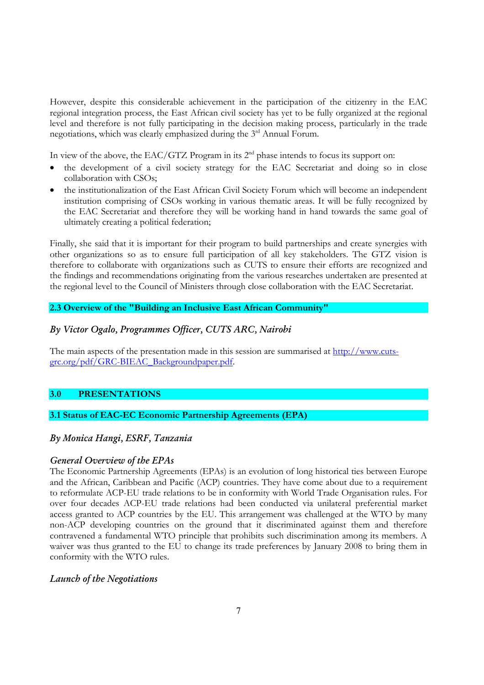However, despite this considerable achievement in the participation of the citizenry in the EAC regional integration process, the East African civil society has yet to be fully organized at the regional level and therefore is not fully participating in the decision making process, particularly in the trade negotiations, which was clearly emphasized during the 3rd Annual Forum.

In view of the above, the EAC/GTZ Program in its  $2<sup>nd</sup>$  phase intends to focus its support on:

- the development of a civil society strategy for the EAC Secretariat and doing so in close collaboration with CSOs;
- the institutionalization of the East African Civil Society Forum which will become an independent institution comprising of CSOs working in various thematic areas. It will be fully recognized by the EAC Secretariat and therefore they will be working hand in hand towards the same goal of ultimately creating a political federation;

Finally, she said that it is important for their program to build partnerships and create synergies with other organizations so as to ensure full participation of all key stakeholders. The GTZ vision is therefore to collaborate with organizations such as CUTS to ensure their efforts are recognized and the findings and recommendations originating from the various researches undertaken are presented at the regional level to the Council of Ministers through close collaboration with the EAC Secretariat.

# **2.3 Overview of the "Building an Inclusive East African Community"**

# *By Victor Ogalo, Programmes Officer, CUTS ARC, Nairobi*

The main aspects of the presentation made in this session are summarised at http://www.cutsgrc.org/pdf/GRC-BIEAC\_Backgroundpaper.pdf.

# **3.0 PRESENTATIONS**

# **3.1 Status of EAC-EC Economic Partnership Agreements (EPA)**

# *By Monica Hangi, ESRF, Tanzania*

#### *General Overview of the EPAs*

The Economic Partnership Agreements (EPAs) is an evolution of long historical ties between Europe and the African, Caribbean and Pacific (ACP) countries. They have come about due to a requirement to reformulate ACP-EU trade relations to be in conformity with World Trade Organisation rules. For over four decades ACP-EU trade relations had been conducted via unilateral preferential market access granted to ACP countries by the EU. This arrangement was challenged at the WTO by many non-ACP developing countries on the ground that it discriminated against them and therefore contravened a fundamental WTO principle that prohibits such discrimination among its members. A waiver was thus granted to the EU to change its trade preferences by January 2008 to bring them in conformity with the WTO rules.

# *Launch of the Negotiations*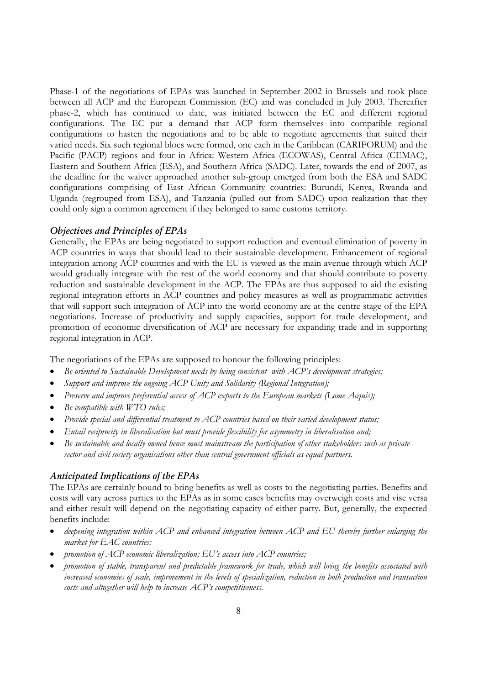Phase-1 of the negotiations of EPAs was launched in September 2002 in Brussels and took place between all ACP and the European Commission (EC) and was concluded in July 2003. Thereafter phase-2, which has continued to date, was initiated between the EC and different regional configurations. The EC put a demand that ACP form themselves into compatible regional configurations to hasten the negotiations and to be able to negotiate agreements that suited their varied needs. Six such regional blocs were formed, one each in the Caribbean (CARIFORUM) and the Pacific (PACP) regions and four in Africa: Western Africa (ECOWAS), Central Africa (CEMAC), Eastern and Southern Africa (ESA), and Southern Africa (SADC). Later, towards the end of 2007, as the deadline for the waiver approached another sub-group emerged from both the ESA and SADC configurations comprising of East African Community countries: Burundi, Kenya, Rwanda and Uganda (regrouped from ESA), and Tanzania (pulled out from SADC) upon realization that they could only sign a common agreement if they belonged to same customs territory.

### *Objectives and Principles of EPAs*

Generally, the EPAs are being negotiated to support reduction and eventual elimination of poverty in ACP countries in ways that should lead to their sustainable development. Enhancement of regional integration among ACP countries and with the EU is viewed as the main avenue through which ACP would gradually integrate with the rest of the world economy and that should contribute to poverty reduction and sustainable development in the ACP. The EPAs are thus supposed to aid the existing regional integration efforts in ACP countries and policy measures as well as programmatic activities that will support such integration of ACP into the world economy are at the centre stage of the EPA negotiations. Increase of productivity and supply capacities, support for trade development, and promotion of economic diversification of ACP are necessary for expanding trade and in supporting regional integration in ACP.

The negotiations of the EPAs are supposed to honour the following principles:

- *Be oriented to Sustainable Development needs by being consistent with ACP's development strategies;*
- *Support and improve the ongoing ACP Unity and Solidarity (Regional Integration);*
- *Preserve and improve preferential access of ACP exports to the European markets (Lome Acquis);*
- *Be compatible with WTO rules;*
- *Provide special and differential treatment to ACP countries based on their varied development status;*
- *Entail reciprocity in liberalisation but must provide flexibility for asymmetry in liberalisation and;*
- *Be sustainable and locally owned hence must mainstream the participation of other stakeholders such as private sector and civil society organisations other than central government officials as equal partners.*

## *Anticipated Implications of the EPAs*

The EPAs are certainly bound to bring benefits as well as costs to the negotiating parties. Benefits and costs will vary across parties to the EPAs as in some cases benefits may overweigh costs and vise versa and either result will depend on the negotiating capacity of either party. But, generally, the expected benefits include:

- *deepening integration within ACP and enhanced integration between ACP and EU thereby further enlarging the market for EAC countries;*
- *promotion of ACP economic liberalization; EU's access into ACP countries;*
- *promotion of stable, transparent and predictable framework for trade, which will bring the benefits associated with increased economies of scale, improvement in the levels of specialization, reduction in both production and transaction costs and altogether will help to increase ACP's competitiveness.*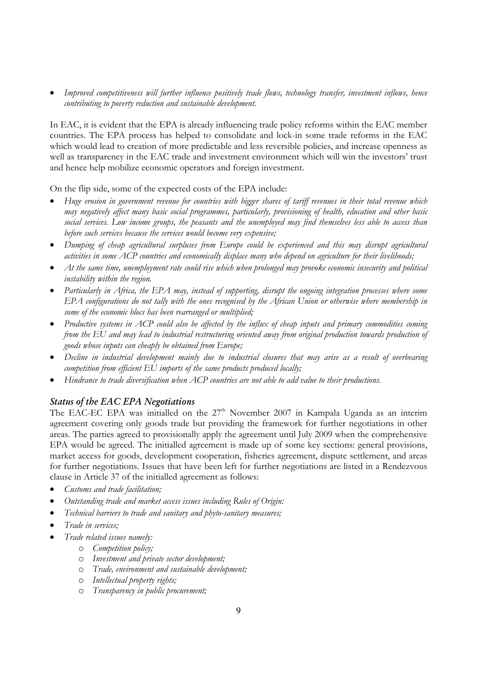• *Improved competitiveness will further influence positively trade flows, technology transfer, investment inflows, hence contributing to poverty reduction and sustainable development.* 

In EAC, it is evident that the EPA is already influencing trade policy reforms within the EAC member countries. The EPA process has helped to consolidate and lock-in some trade reforms in the EAC which would lead to creation of more predictable and less reversible policies, and increase openness as well as transparency in the EAC trade and investment environment which will win the investors' trust and hence help mobilize economic operators and foreign investment.

On the flip side, some of the expected costs of the EPA include:

- *Huge erosion in government revenue for countries with bigger shares of tariff revenues in their total revenue which may negatively affect many basic social programmes, particularly, provisioning of health, education and other basic social services. Low income groups, the peasants and the unemployed may find themselves less able to access than before such services because the services would become very expensive;*
- *Dumping of cheap agricultural surpluses from Europe could be experienced and this may disrupt agricultural activities in some ACP countries and economically displace many who depend on agriculture for their livelihoods;*
- *At the same time, unemployment rate could rise which when prolonged may provoke economic insecurity and political instability within the region.*
- *Particularly in Africa, the EPA may, instead of supporting, disrupt the ongoing integration processes where some EPA configurations do not tally with the ones recognised by the African Union or otherwise where membership in some of the economic blocs has been rearranged or multiplied;*
- *Productive systems in ACP could also be affected by the influx of cheap inputs and primary commodities coming from the EU and may lead to industrial restructuring oriented away from original production towards production of goods whose inputs can cheaply be obtained from Europe;*
- *Decline in industrial development mainly due to industrial closures that may arise as a result of overbearing competition from efficient EU imports of the same products produced locally;*
- *Hindrance to trade diversification when ACP countries are not able to add value to their productions.*

# *Status of the EAC EPA Negotiations*

The EAC-EC EPA was initialled on the  $27<sup>th</sup>$  November 2007 in Kampala Uganda as an interim agreement covering only goods trade but providing the framework for further negotiations in other areas. The parties agreed to provisionally apply the agreement until July 2009 when the comprehensive EPA would be agreed. The initialled agreement is made up of some key sections: general provisions, market access for goods, development cooperation, fisheries agreement, dispute settlement, and areas for further negotiations. Issues that have been left for further negotiations are listed in a Rendezvous clause in Article 37 of the initialled agreement as follows:

- *Customs and trade facilitation;*
- *Outstanding trade and market access issues including Rules of Origin:*
- *Technical barriers to trade and sanitary and phyto-sanitary measures;*
- *Trade in services;*
- *Trade related issues namely:* 
	- o *Competition policy;*
	- o *Investment and private sector development;*
	- o *Trade, environment and sustainable development;*
	- o *Intellectual property rights;*
	- o *Transparency in public procurement;*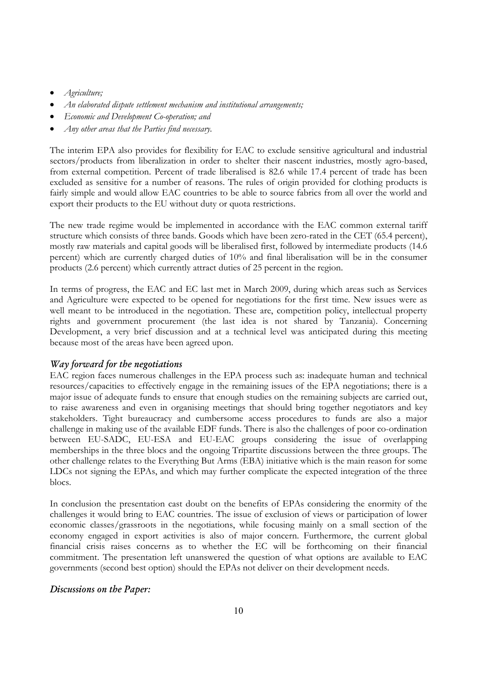- *Agriculture;*
- *An elaborated dispute settlement mechanism and institutional arrangements;*
- *Economic and Development Co-operation; and*
- *Any other areas that the Parties find necessary.*

The interim EPA also provides for flexibility for EAC to exclude sensitive agricultural and industrial sectors/products from liberalization in order to shelter their nascent industries, mostly agro-based, from external competition. Percent of trade liberalised is 82.6 while 17.4 percent of trade has been excluded as sensitive for a number of reasons. The rules of origin provided for clothing products is fairly simple and would allow EAC countries to be able to source fabrics from all over the world and export their products to the EU without duty or quota restrictions.

The new trade regime would be implemented in accordance with the EAC common external tariff structure which consists of three bands. Goods which have been zero-rated in the CET (65.4 percent), mostly raw materials and capital goods will be liberalised first, followed by intermediate products (14.6 percent) which are currently charged duties of 10% and final liberalisation will be in the consumer products (2.6 percent) which currently attract duties of 25 percent in the region.

In terms of progress, the EAC and EC last met in March 2009, during which areas such as Services and Agriculture were expected to be opened for negotiations for the first time. New issues were as well meant to be introduced in the negotiation. These are, competition policy, intellectual property rights and government procurement (the last idea is not shared by Tanzania). Concerning Development, a very brief discussion and at a technical level was anticipated during this meeting because most of the areas have been agreed upon.

#### *Way forward for the negotiations*

EAC region faces numerous challenges in the EPA process such as: inadequate human and technical resources/capacities to effectively engage in the remaining issues of the EPA negotiations; there is a major issue of adequate funds to ensure that enough studies on the remaining subjects are carried out, to raise awareness and even in organising meetings that should bring together negotiators and key stakeholders. Tight bureaucracy and cumbersome access procedures to funds are also a major challenge in making use of the available EDF funds. There is also the challenges of poor co-ordination between EU-SADC, EU-ESA and EU-EAC groups considering the issue of overlapping memberships in the three blocs and the ongoing Tripartite discussions between the three groups. The other challenge relates to the Everything But Arms (EBA) initiative which is the main reason for some LDCs not signing the EPAs, and which may further complicate the expected integration of the three blocs.

In conclusion the presentation cast doubt on the benefits of EPAs considering the enormity of the challenges it would bring to EAC countries. The issue of exclusion of views or participation of lower economic classes/grassroots in the negotiations, while focusing mainly on a small section of the economy engaged in export activities is also of major concern. Furthermore, the current global financial crisis raises concerns as to whether the EC will be forthcoming on their financial commitment. The presentation left unanswered the question of what options are available to EAC governments (second best option) should the EPAs not deliver on their development needs.

#### *Discussions on the Paper:*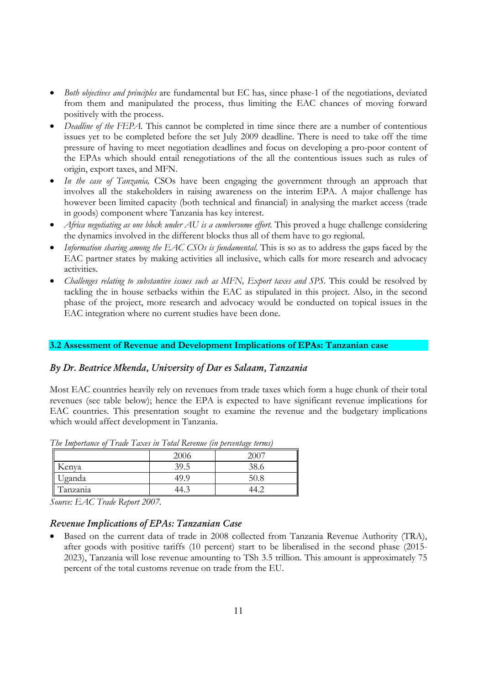- *Both objectives and principles* are fundamental but EC has, since phase-1 of the negotiations, deviated from them and manipulated the process, thus limiting the EAC chances of moving forward positively with the process.
- *Deadline of the FEPA.* This cannot be completed in time since there are a number of contentious issues yet to be completed before the set July 2009 deadline. There is need to take off the time pressure of having to meet negotiation deadlines and focus on developing a pro-poor content of the EPAs which should entail renegotiations of the all the contentious issues such as rules of origin, export taxes, and MFN.
- *In the case of Tanzania,* CSOs have been engaging the government through an approach that involves all the stakeholders in raising awareness on the interim EPA. A major challenge has however been limited capacity (both technical and financial) in analysing the market access (trade in goods) component where Tanzania has key interest.
- *Africa negotiating as one block under AU is a cumbersome effort.* This proved a huge challenge considering the dynamics involved in the different blocks thus all of them have to go regional.
- *Information sharing among the EAC CSOs is fundamental.* This is so as to address the gaps faced by the EAC partner states by making activities all inclusive, which calls for more research and advocacy activities.
- *Challenges relating to substantive issues such as MFN, Export taxes and SPS.* This could be resolved by tackling the in house setbacks within the EAC as stipulated in this project. Also, in the second phase of the project, more research and advocacy would be conducted on topical issues in the EAC integration where no current studies have been done.

# **3.2 Assessment of Revenue and Development Implications of EPAs: Tanzanian case**

# *By Dr. Beatrice Mkenda, University of Dar es Salaam, Tanzania*

Most EAC countries heavily rely on revenues from trade taxes which form a huge chunk of their total revenues (see table below); hence the EPA is expected to have significant revenue implications for EAC countries. This presentation sought to examine the revenue and the budgetary implications which would affect development in Tanzania.

|           | 2000    | 200 |
|-----------|---------|-----|
| Kenva     | 39<br>/ | 20  |
| Jganda    | 49.     | 50  |
| l anzanıa | ᠇…      |     |

*The Importance of Trade Taxes in Total Revenue (in percentage terms)* 

*Source: EAC Trade Report 2007.* 

# *Revenue Implications of EPAs: Tanzanian Case*

• Based on the current data of trade in 2008 collected from Tanzania Revenue Authority (TRA), after goods with positive tariffs (10 percent) start to be liberalised in the second phase (2015- 2023), Tanzania will lose revenue amounting to TSh 3.5 trillion. This amount is approximately 75 percent of the total customs revenue on trade from the EU.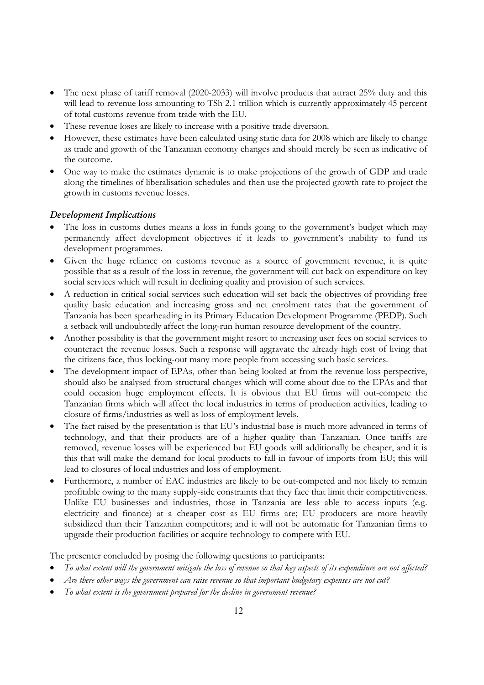- The next phase of tariff removal (2020-2033) will involve products that attract 25% duty and this will lead to revenue loss amounting to TSh 2.1 trillion which is currently approximately 45 percent of total customs revenue from trade with the EU.
- These revenue loses are likely to increase with a positive trade diversion.
- However, these estimates have been calculated using static data for 2008 which are likely to change as trade and growth of the Tanzanian economy changes and should merely be seen as indicative of the outcome.
- One way to make the estimates dynamic is to make projections of the growth of GDP and trade along the timelines of liberalisation schedules and then use the projected growth rate to project the growth in customs revenue losses.

# *Development Implications*

- The loss in customs duties means a loss in funds going to the government's budget which may permanently affect development objectives if it leads to government's inability to fund its development programmes.
- Given the huge reliance on customs revenue as a source of government revenue, it is quite possible that as a result of the loss in revenue, the government will cut back on expenditure on key social services which will result in declining quality and provision of such services.
- A reduction in critical social services such education will set back the objectives of providing free quality basic education and increasing gross and net enrolment rates that the government of Tanzania has been spearheading in its Primary Education Development Programme (PEDP). Such a setback will undoubtedly affect the long-run human resource development of the country.
- Another possibility is that the government might resort to increasing user fees on social services to counteract the revenue losses. Such a response will aggravate the already high cost of living that the citizens face, thus locking-out many more people from accessing such basic services.
- The development impact of EPAs, other than being looked at from the revenue loss perspective, should also be analysed from structural changes which will come about due to the EPAs and that could occasion huge employment effects. It is obvious that EU firms will out-compete the Tanzanian firms which will affect the local industries in terms of production activities, leading to closure of firms/industries as well as loss of employment levels.
- The fact raised by the presentation is that EU's industrial base is much more advanced in terms of technology, and that their products are of a higher quality than Tanzanian. Once tariffs are removed, revenue losses will be experienced but EU goods will additionally be cheaper, and it is this that will make the demand for local products to fall in favour of imports from EU; this will lead to closures of local industries and loss of employment.
- Furthermore, a number of EAC industries are likely to be out-competed and not likely to remain profitable owing to the many supply-side constraints that they face that limit their competitiveness. Unlike EU businesses and industries, those in Tanzania are less able to access inputs (e.g. electricity and finance) at a cheaper cost as EU firms are; EU producers are more heavily subsidized than their Tanzanian competitors; and it will not be automatic for Tanzanian firms to upgrade their production facilities or acquire technology to compete with EU.

The presenter concluded by posing the following questions to participants:

- *To what extent will the government mitigate the loss of revenue so that key aspects of its expenditure are not affected?*
- *Are there other ways the government can raise revenue so that important budgetary expenses are not cut?*
- *To what extent is the government prepared for the decline in government revenue?*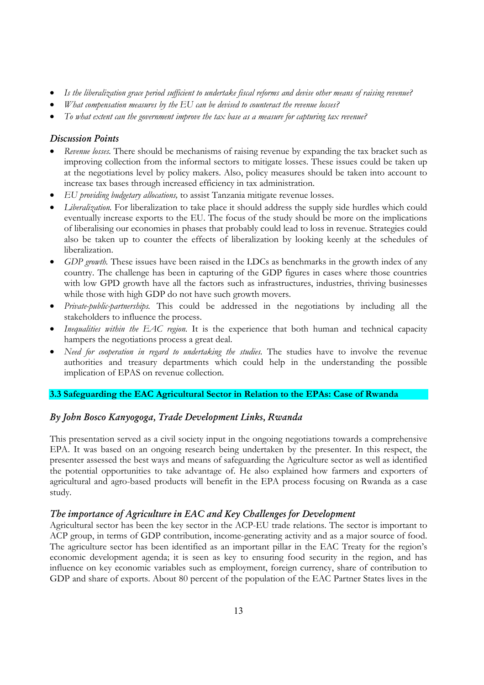- *Is the liberalization grace period sufficient to undertake fiscal reforms and devise other means of raising revenue?*
- *What compensation measures by the EU can be devised to counteract the revenue losses?*
- *To what extent can the government improve the tax base as a measure for capturing tax revenue?*

# *Discussion Points*

- *Revenue losses.* There should be mechanisms of raising revenue by expanding the tax bracket such as improving collection from the informal sectors to mitigate losses. These issues could be taken up at the negotiations level by policy makers. Also, policy measures should be taken into account to increase tax bases through increased efficiency in tax administration.
- *EU providing budgetary allocations,* to assist Tanzania mitigate revenue losses.
- *Liberalization*. For liberalization to take place it should address the supply side hurdles which could eventually increase exports to the EU. The focus of the study should be more on the implications of liberalising our economies in phases that probably could lead to loss in revenue. Strategies could also be taken up to counter the effects of liberalization by looking keenly at the schedules of liberalization.
- *GDP growth*. These issues have been raised in the LDCs as benchmarks in the growth index of any country. The challenge has been in capturing of the GDP figures in cases where those countries with low GPD growth have all the factors such as infrastructures, industries, thriving businesses while those with high GDP do not have such growth movers.
- *Private-public-partnerships.* This could be addressed in the negotiations by including all the stakeholders to influence the process.
- *Inequalities within the EAC region.* It is the experience that both human and technical capacity hampers the negotiations process a great deal.
- *Need for cooperation in regard to undertaking the studies.* The studies have to involve the revenue authorities and treasury departments which could help in the understanding the possible implication of EPAS on revenue collection.

# **3.3 Safeguarding the EAC Agricultural Sector in Relation to the EPAs: Case of Rwanda**

# *By John Bosco Kanyogoga, Trade Development Links, Rwanda*

This presentation served as a civil society input in the ongoing negotiations towards a comprehensive EPA. It was based on an ongoing research being undertaken by the presenter. In this respect, the presenter assessed the best ways and means of safeguarding the Agriculture sector as well as identified the potential opportunities to take advantage of. He also explained how farmers and exporters of agricultural and agro-based products will benefit in the EPA process focusing on Rwanda as a case study.

# *The importance of Agriculture in EAC and Key Challenges for Development*

Agricultural sector has been the key sector in the ACP-EU trade relations. The sector is important to ACP group, in terms of GDP contribution, income-generating activity and as a major source of food. The agriculture sector has been identified as an important pillar in the EAC Treaty for the region's economic development agenda; it is seen as key to ensuring food security in the region, and has influence on key economic variables such as employment, foreign currency, share of contribution to GDP and share of exports. About 80 percent of the population of the EAC Partner States lives in the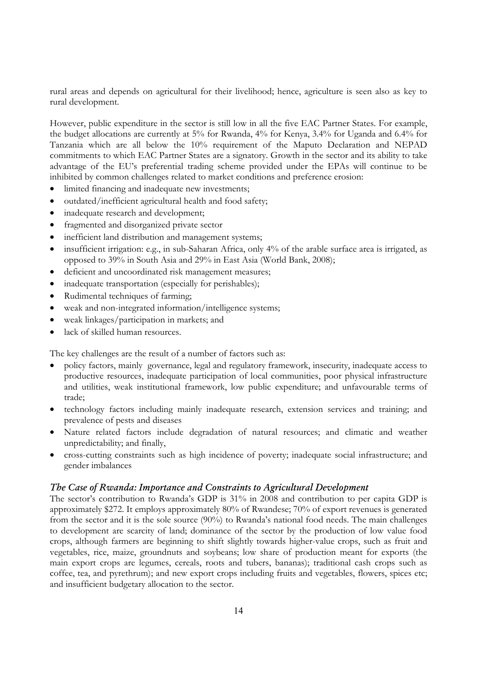rural areas and depends on agricultural for their livelihood; hence, agriculture is seen also as key to rural development.

However, public expenditure in the sector is still low in all the five EAC Partner States. For example, the budget allocations are currently at 5% for Rwanda, 4% for Kenya, 3.4% for Uganda and 6.4% for Tanzania which are all below the 10% requirement of the Maputo Declaration and NEPAD commitments to which EAC Partner States are a signatory. Growth in the sector and its ability to take advantage of the EU's preferential trading scheme provided under the EPAs will continue to be inhibited by common challenges related to market conditions and preference erosion:

- limited financing and inadequate new investments;
- outdated/inefficient agricultural health and food safety;
- inadequate research and development;
- fragmented and disorganized private sector
- inefficient land distribution and management systems;
- insufficient irrigation: e.g., in sub-Saharan Africa, only 4% of the arable surface area is irrigated, as opposed to 39% in South Asia and 29% in East Asia (World Bank, 2008);
- deficient and uncoordinated risk management measures;
- inadequate transportation (especially for perishables);
- Rudimental techniques of farming;
- weak and non-integrated information/intelligence systems;
- weak linkages/participation in markets; and
- lack of skilled human resources.

The key challenges are the result of a number of factors such as:

- policy factors, mainly governance, legal and regulatory framework, insecurity, inadequate access to productive resources, inadequate participation of local communities, poor physical infrastructure and utilities, weak institutional framework, low public expenditure; and unfavourable terms of trade;
- technology factors including mainly inadequate research, extension services and training; and prevalence of pests and diseases
- Nature related factors include degradation of natural resources; and climatic and weather unpredictability; and finally,
- cross-cutting constraints such as high incidence of poverty; inadequate social infrastructure; and gender imbalances

## *The Case of Rwanda: Importance and Constraints to Agricultural Development*

The sector's contribution to Rwanda's GDP is 31% in 2008 and contribution to per capita GDP is approximately \$272. It employs approximately 80% of Rwandese; 70% of export revenues is generated from the sector and it is the sole source (90%) to Rwanda's national food needs. The main challenges to development are scarcity of land; dominance of the sector by the production of low value food crops, although farmers are beginning to shift slightly towards higher-value crops, such as fruit and vegetables, rice, maize, groundnuts and soybeans; low share of production meant for exports (the main export crops are legumes, cereals, roots and tubers, bananas); traditional cash crops such as coffee, tea, and pyrethrum); and new export crops including fruits and vegetables, flowers, spices etc; and insufficient budgetary allocation to the sector.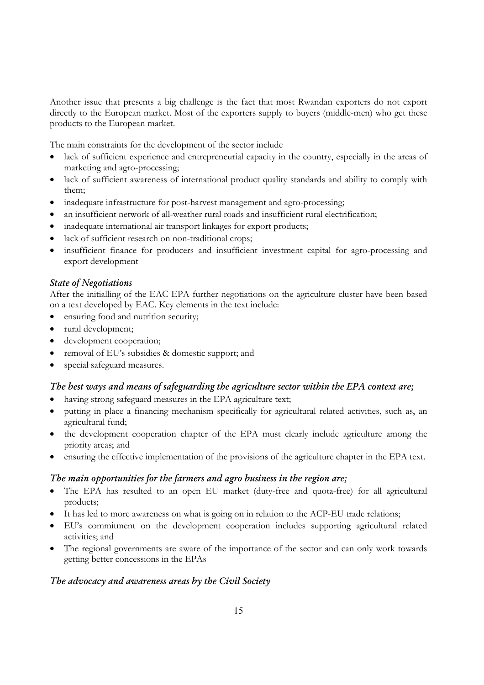Another issue that presents a big challenge is the fact that most Rwandan exporters do not export directly to the European market. Most of the exporters supply to buyers (middle-men) who get these products to the European market.

The main constraints for the development of the sector include

- lack of sufficient experience and entrepreneurial capacity in the country, especially in the areas of marketing and agro-processing;
- lack of sufficient awareness of international product quality standards and ability to comply with them;
- inadequate infrastructure for post-harvest management and agro-processing;
- an insufficient network of all-weather rural roads and insufficient rural electrification;
- inadequate international air transport linkages for export products;
- lack of sufficient research on non-traditional crops;
- insufficient finance for producers and insufficient investment capital for agro-processing and export development

# *State of Negotiations*

After the initialling of the EAC EPA further negotiations on the agriculture cluster have been based on a text developed by EAC. Key elements in the text include:

- ensuring food and nutrition security;
- rural development;
- development cooperation;
- removal of EU's subsidies & domestic support; and
- special safeguard measures.

# *The best ways and means of safeguarding the agriculture sector within the EPA context are;*

- having strong safeguard measures in the EPA agriculture text;
- putting in place a financing mechanism specifically for agricultural related activities, such as, an agricultural fund;
- the development cooperation chapter of the EPA must clearly include agriculture among the priority areas; and
- ensuring the effective implementation of the provisions of the agriculture chapter in the EPA text.

# *The main opportunities for the farmers and agro business in the region are;*

- The EPA has resulted to an open EU market (duty-free and quota-free) for all agricultural products;
- It has led to more awareness on what is going on in relation to the ACP-EU trade relations;
- EU's commitment on the development cooperation includes supporting agricultural related activities; and
- The regional governments are aware of the importance of the sector and can only work towards getting better concessions in the EPAs

# *The advocacy and awareness areas by the Civil Society*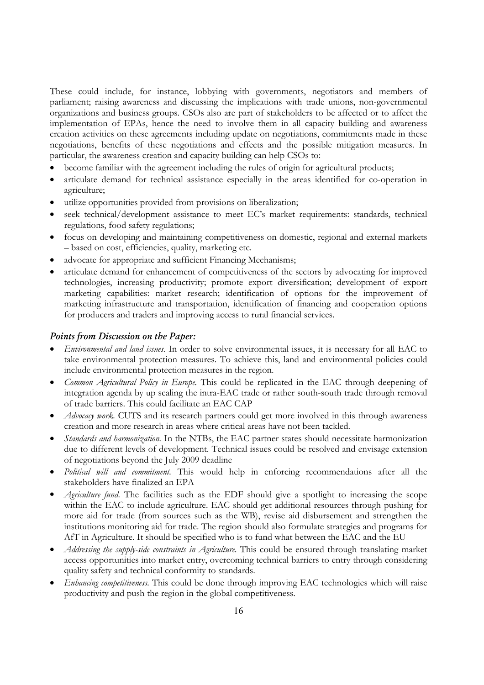These could include, for instance, lobbying with governments, negotiators and members of parliament; raising awareness and discussing the implications with trade unions, non-governmental organizations and business groups. CSOs also are part of stakeholders to be affected or to affect the implementation of EPAs, hence the need to involve them in all capacity building and awareness creation activities on these agreements including update on negotiations, commitments made in these negotiations, benefits of these negotiations and effects and the possible mitigation measures. In particular, the awareness creation and capacity building can help CSOs to:

- become familiar with the agreement including the rules of origin for agricultural products;
- articulate demand for technical assistance especially in the areas identified for co-operation in agriculture;
- utilize opportunities provided from provisions on liberalization;
- seek technical/development assistance to meet EC's market requirements: standards, technical regulations, food safety regulations;
- focus on developing and maintaining competitiveness on domestic, regional and external markets – based on cost, efficiencies, quality, marketing etc.
- advocate for appropriate and sufficient Financing Mechanisms;
- articulate demand for enhancement of competitiveness of the sectors by advocating for improved technologies, increasing productivity; promote export diversification; development of export marketing capabilities: market research; identification of options for the improvement of marketing infrastructure and transportation, identification of financing and cooperation options for producers and traders and improving access to rural financial services.

# *Points from Discussion on the Paper:*

- *Environmental and land issues.* In order to solve environmental issues, it is necessary for all EAC to take environmental protection measures. To achieve this, land and environmental policies could include environmental protection measures in the region.
- *Common Agricultural Policy in Europe.* This could be replicated in the EAC through deepening of integration agenda by up scaling the intra-EAC trade or rather south-south trade through removal of trade barriers. This could facilitate an EAC CAP
- Advocacy work. CUTS and its research partners could get more involved in this through awareness creation and more research in areas where critical areas have not been tackled.
- *Standards and harmonization.* In the NTBs, the EAC partner states should necessitate harmonization due to different levels of development. Technical issues could be resolved and envisage extension of negotiations beyond the July 2009 deadline
- *Political will and commitment.* This would help in enforcing recommendations after all the stakeholders have finalized an EPA
- *Agriculture fund.* The facilities such as the EDF should give a spotlight to increasing the scope within the EAC to include agriculture. EAC should get additional resources through pushing for more aid for trade (from sources such as the WB), revise aid disbursement and strengthen the institutions monitoring aid for trade. The region should also formulate strategies and programs for AfT in Agriculture. It should be specified who is to fund what between the EAC and the EU
- *Addressing the supply-side constraints in Agriculture.* This could be ensured through translating market access opportunities into market entry, overcoming technical barriers to entry through considering quality safety and technical conformity to standards.
- *Enhancing competitiveness.* This could be done through improving EAC technologies which will raise productivity and push the region in the global competitiveness.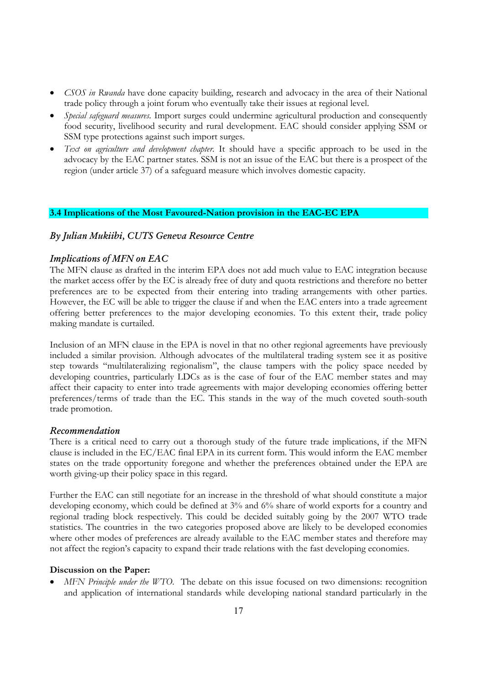- *CSOS in Rwanda* have done capacity building, research and advocacy in the area of their National trade policy through a joint forum who eventually take their issues at regional level.
- *Special safeguard measures.* Import surges could undermine agricultural production and consequently food security, livelihood security and rural development. EAC should consider applying SSM or SSM type protections against such import surges.
- *Text on agriculture and development chapter.* It should have a specific approach to be used in the advocacy by the EAC partner states. SSM is not an issue of the EAC but there is a prospect of the region (under article 37) of a safeguard measure which involves domestic capacity.

## **3.4 Implications of the Most Favoured-Nation provision in the EAC-EC EPA**

# *By Julian Mukiibi, CUTS Geneva Resource Centre*

#### *Implications of MFN on EAC*

The MFN clause as drafted in the interim EPA does not add much value to EAC integration because the market access offer by the EC is already free of duty and quota restrictions and therefore no better preferences are to be expected from their entering into trading arrangements with other parties. However, the EC will be able to trigger the clause if and when the EAC enters into a trade agreement offering better preferences to the major developing economies. To this extent their, trade policy making mandate is curtailed.

Inclusion of an MFN clause in the EPA is novel in that no other regional agreements have previously included a similar provision. Although advocates of the multilateral trading system see it as positive step towards "multilateralizing regionalism", the clause tampers with the policy space needed by developing countries, particularly LDCs as is the case of four of the EAC member states and may affect their capacity to enter into trade agreements with major developing economies offering better preferences/terms of trade than the EC. This stands in the way of the much coveted south-south trade promotion.

#### *Recommendation*

There is a critical need to carry out a thorough study of the future trade implications, if the MFN clause is included in the EC/EAC final EPA in its current form. This would inform the EAC member states on the trade opportunity foregone and whether the preferences obtained under the EPA are worth giving-up their policy space in this regard.

Further the EAC can still negotiate for an increase in the threshold of what should constitute a major developing economy, which could be defined at 3% and 6% share of world exports for a country and regional trading block respectively. This could be decided suitably going by the 2007 WTO trade statistics. The countries in the two categories proposed above are likely to be developed economies where other modes of preferences are already available to the EAC member states and therefore may not affect the region's capacity to expand their trade relations with the fast developing economies.

#### **Discussion on the Paper:**

*MFN Principle under the WTO.* The debate on this issue focused on two dimensions: recognition and application of international standards while developing national standard particularly in the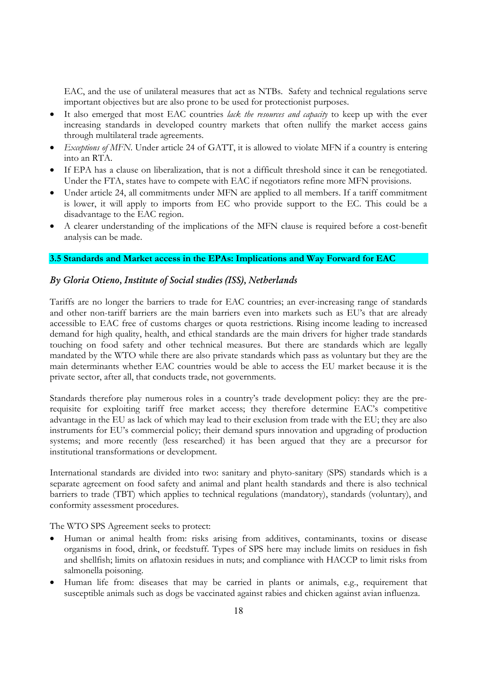EAC, and the use of unilateral measures that act as NTBs. Safety and technical regulations serve important objectives but are also prone to be used for protectionist purposes.

- It also emerged that most EAC countries *lack the resources and capacity* to keep up with the ever increasing standards in developed country markets that often nullify the market access gains through multilateral trade agreements.
- *Exceptions of MFN*. Under article 24 of GATT, it is allowed to violate MFN if a country is entering into an RTA.
- If EPA has a clause on liberalization, that is not a difficult threshold since it can be renegotiated. Under the FTA, states have to compete with EAC if negotiators refine more MFN provisions.
- Under article 24, all commitments under MFN are applied to all members. If a tariff commitment is lower, it will apply to imports from EC who provide support to the EC. This could be a disadvantage to the EAC region.
- A clearer understanding of the implications of the MFN clause is required before a cost-benefit analysis can be made.

# **3.5 Standards and Market access in the EPAs: Implications and Way Forward for EAC**

## *By Gloria Otieno, Institute of Social studies (ISS), Netherlands*

Tariffs are no longer the barriers to trade for EAC countries; an ever-increasing range of standards and other non-tariff barriers are the main barriers even into markets such as EU's that are already accessible to EAC free of customs charges or quota restrictions. Rising income leading to increased demand for high quality, health, and ethical standards are the main drivers for higher trade standards touching on food safety and other technical measures. But there are standards which are legally mandated by the WTO while there are also private standards which pass as voluntary but they are the main determinants whether EAC countries would be able to access the EU market because it is the private sector, after all, that conducts trade, not governments.

Standards therefore play numerous roles in a country's trade development policy: they are the prerequisite for exploiting tariff free market access; they therefore determine EAC's competitive advantage in the EU as lack of which may lead to their exclusion from trade with the EU; they are also instruments for EU's commercial policy; their demand spurs innovation and upgrading of production systems; and more recently (less researched) it has been argued that they are a precursor for institutional transformations or development.

International standards are divided into two: sanitary and phyto-sanitary (SPS) standards which is a separate agreement on food safety and animal and plant health standards and there is also technical barriers to trade (TBT) which applies to technical regulations (mandatory), standards (voluntary), and conformity assessment procedures.

The WTO SPS Agreement seeks to protect:

- Human or animal health from: risks arising from additives, contaminants, toxins or disease organisms in food, drink, or feedstuff. Types of SPS here may include limits on residues in fish and shellfish; limits on aflatoxin residues in nuts; and compliance with HACCP to limit risks from salmonella poisoning.
- Human life from: diseases that may be carried in plants or animals, e.g., requirement that susceptible animals such as dogs be vaccinated against rabies and chicken against avian influenza.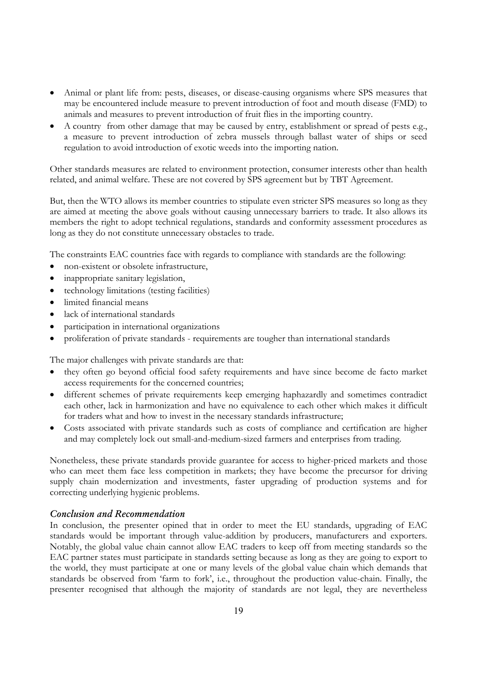- Animal or plant life from: pests, diseases, or disease-causing organisms where SPS measures that may be encountered include measure to prevent introduction of foot and mouth disease (FMD) to animals and measures to prevent introduction of fruit flies in the importing country.
- A country from other damage that may be caused by entry, establishment or spread of pests e.g., a measure to prevent introduction of zebra mussels through ballast water of ships or seed regulation to avoid introduction of exotic weeds into the importing nation.

Other standards measures are related to environment protection, consumer interests other than health related, and animal welfare. These are not covered by SPS agreement but by TBT Agreement.

But, then the WTO allows its member countries to stipulate even stricter SPS measures so long as they are aimed at meeting the above goals without causing unnecessary barriers to trade. It also allows its members the right to adopt technical regulations, standards and conformity assessment procedures as long as they do not constitute unnecessary obstacles to trade.

The constraints EAC countries face with regards to compliance with standards are the following:

- non-existent or obsolete infrastructure,
- inappropriate sanitary legislation,
- technology limitations (testing facilities)
- limited financial means
- lack of international standards
- participation in international organizations
- proliferation of private standards requirements are tougher than international standards

The major challenges with private standards are that:

- they often go beyond official food safety requirements and have since become de facto market access requirements for the concerned countries;
- different schemes of private requirements keep emerging haphazardly and sometimes contradict each other, lack in harmonization and have no equivalence to each other which makes it difficult for traders what and how to invest in the necessary standards infrastructure;
- Costs associated with private standards such as costs of compliance and certification are higher and may completely lock out small-and-medium-sized farmers and enterprises from trading.

Nonetheless, these private standards provide guarantee for access to higher-priced markets and those who can meet them face less competition in markets; they have become the precursor for driving supply chain modernization and investments, faster upgrading of production systems and for correcting underlying hygienic problems.

# *Conclusion and Recommendation*

In conclusion, the presenter opined that in order to meet the EU standards, upgrading of EAC standards would be important through value-addition by producers, manufacturers and exporters. Notably, the global value chain cannot allow EAC traders to keep off from meeting standards so the EAC partner states must participate in standards setting because as long as they are going to export to the world, they must participate at one or many levels of the global value chain which demands that standards be observed from 'farm to fork', i.e., throughout the production value-chain. Finally, the presenter recognised that although the majority of standards are not legal, they are nevertheless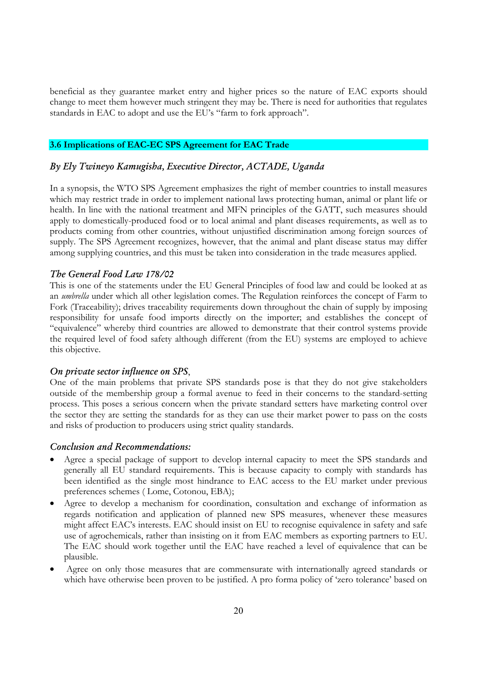beneficial as they guarantee market entry and higher prices so the nature of EAC exports should change to meet them however much stringent they may be. There is need for authorities that regulates standards in EAC to adopt and use the EU's "farm to fork approach".

# **3.6 Implications of EAC-EC SPS Agreement for EAC Trade**

## *By Ely Twineyo Kamugisha, Executive Director, ACTADE, Uganda*

In a synopsis, the WTO SPS Agreement emphasizes the right of member countries to install measures which may restrict trade in order to implement national laws protecting human, animal or plant life or health. In line with the national treatment and MFN principles of the GATT, such measures should apply to domestically-produced food or to local animal and plant diseases requirements, as well as to products coming from other countries, without unjustified discrimination among foreign sources of supply. The SPS Agreement recognizes, however, that the animal and plant disease status may differ among supplying countries, and this must be taken into consideration in the trade measures applied.

#### *The General Food Law 178/02*

This is one of the statements under the EU General Principles of food law and could be looked at as an *umbrella* under which all other legislation comes. The Regulation reinforces the concept of Farm to Fork (Traceability); drives traceability requirements down throughout the chain of supply by imposing responsibility for unsafe food imports directly on the importer; and establishes the concept of "equivalence" whereby third countries are allowed to demonstrate that their control systems provide the required level of food safety although different (from the EU) systems are employed to achieve this objective.

#### *On private sector influence on SPS*,

One of the main problems that private SPS standards pose is that they do not give stakeholders outside of the membership group a formal avenue to feed in their concerns to the standard-setting process. This poses a serious concern when the private standard setters have marketing control over the sector they are setting the standards for as they can use their market power to pass on the costs and risks of production to producers using strict quality standards.

### *Conclusion and Recommendations:*

- Agree a special package of support to develop internal capacity to meet the SPS standards and generally all EU standard requirements. This is because capacity to comply with standards has been identified as the single most hindrance to EAC access to the EU market under previous preferences schemes ( Lome, Cotonou, EBA);
- Agree to develop a mechanism for coordination, consultation and exchange of information as regards notification and application of planned new SPS measures, whenever these measures might affect EAC's interests. EAC should insist on EU to recognise equivalence in safety and safe use of agrochemicals, rather than insisting on it from EAC members as exporting partners to EU. The EAC should work together until the EAC have reached a level of equivalence that can be plausible.
- Agree on only those measures that are commensurate with internationally agreed standards or which have otherwise been proven to be justified. A pro forma policy of 'zero tolerance' based on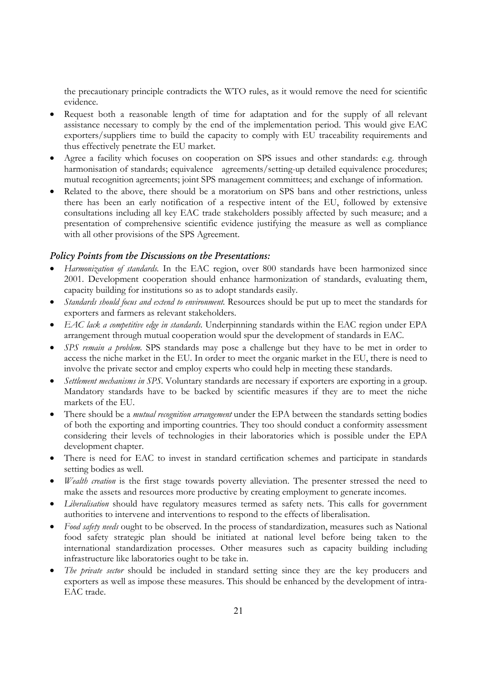the precautionary principle contradicts the WTO rules, as it would remove the need for scientific evidence.

- Request both a reasonable length of time for adaptation and for the supply of all relevant assistance necessary to comply by the end of the implementation period. This would give EAC exporters/suppliers time to build the capacity to comply with EU traceability requirements and thus effectively penetrate the EU market.
- Agree a facility which focuses on cooperation on SPS issues and other standards: e.g. through harmonisation of standards; equivalence agreements/setting-up detailed equivalence procedures; mutual recognition agreements; joint SPS management committees; and exchange of information.
- Related to the above, there should be a moratorium on SPS bans and other restrictions, unless there has been an early notification of a respective intent of the EU, followed by extensive consultations including all key EAC trade stakeholders possibly affected by such measure; and a presentation of comprehensive scientific evidence justifying the measure as well as compliance with all other provisions of the SPS Agreement.

# *Policy Points from the Discussions on the Presentations:*

- *Harmonization of standards.* In the EAC region, over 800 standards have been harmonized since 2001. Development cooperation should enhance harmonization of standards, evaluating them, capacity building for institutions so as to adopt standards easily.
- *Standards should focus and extend to environment.* Resources should be put up to meet the standards for exporters and farmers as relevant stakeholders.
- *EAC lack a competitive edge in standards.* Underpinning standards within the EAC region under EPA arrangement through mutual cooperation would spur the development of standards in EAC.
- *SPS remain a problem.* SPS standards may pose a challenge but they have to be met in order to access the niche market in the EU. In order to meet the organic market in the EU, there is need to involve the private sector and employ experts who could help in meeting these standards.
- *Settlement mechanisms in SPS.* Voluntary standards are necessary if exporters are exporting in a group. Mandatory standards have to be backed by scientific measures if they are to meet the niche markets of the EU.
- There should be a *mutual recognition arrangement* under the EPA between the standards setting bodies of both the exporting and importing countries. They too should conduct a conformity assessment considering their levels of technologies in their laboratories which is possible under the EPA development chapter.
- There is need for EAC to invest in standard certification schemes and participate in standards setting bodies as well.
- *Wealth creation* is the first stage towards poverty alleviation. The presenter stressed the need to make the assets and resources more productive by creating employment to generate incomes.
- *Liberalisation* should have regulatory measures termed as safety nets. This calls for government authorities to intervene and interventions to respond to the effects of liberalisation.
- *Food safety needs* ought to be observed. In the process of standardization, measures such as National food safety strategic plan should be initiated at national level before being taken to the international standardization processes. Other measures such as capacity building including infrastructure like laboratories ought to be take in.
- *The private sector* should be included in standard setting since they are the key producers and exporters as well as impose these measures. This should be enhanced by the development of intra-EAC trade.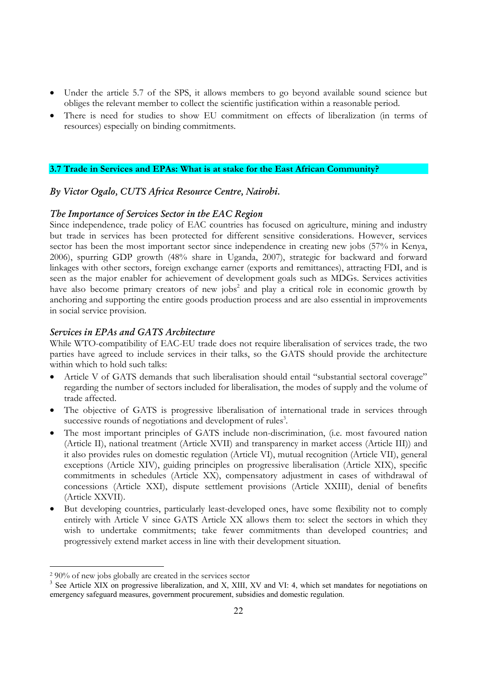- Under the article 5.7 of the SPS, it allows members to go beyond available sound science but obliges the relevant member to collect the scientific justification within a reasonable period.
- There is need for studies to show EU commitment on effects of liberalization (in terms of resources) especially on binding commitments.

## **3.7 Trade in Services and EPAs: What is at stake for the East African Community?**

# *By Victor Ogalo, CUTS Africa Resource Centre, Nairobi.*

### *The Importance of Services Sector in the EAC Region*

Since independence, trade policy of EAC countries has focused on agriculture, mining and industry but trade in services has been protected for different sensitive considerations. However, services sector has been the most important sector since independence in creating new jobs (57% in Kenya, 2006), spurring GDP growth (48% share in Uganda, 2007), strategic for backward and forward linkages with other sectors, foreign exchange earner (exports and remittances), attracting FDI, and is seen as the major enabler for achievement of development goals such as MDGs. Services activities have also become primary creators of new jobs<sup>2</sup> and play a critical role in economic growth by anchoring and supporting the entire goods production process and are also essential in improvements in social service provision.

## *Services in EPAs and GATS Architecture*

While WTO-compatibility of EAC-EU trade does not require liberalisation of services trade, the two parties have agreed to include services in their talks, so the GATS should provide the architecture within which to hold such talks:

- Article V of GATS demands that such liberalisation should entail "substantial sectoral coverage" regarding the number of sectors included for liberalisation, the modes of supply and the volume of trade affected.
- The objective of GATS is progressive liberalisation of international trade in services through successive rounds of negotiations and development of rules<sup>3</sup>.
- The most important principles of GATS include non-discrimination, (i.e. most favoured nation (Article II), national treatment (Article XVII) and transparency in market access (Article III)) and it also provides rules on domestic regulation (Article VI), mutual recognition (Article VII), general exceptions (Article XIV), guiding principles on progressive liberalisation (Article XIX), specific commitments in schedules (Article XX), compensatory adjustment in cases of withdrawal of concessions (Article XXI), dispute settlement provisions (Article XXIII), denial of benefits (Article XXVII).
- But developing countries, particularly least-developed ones, have some flexibility not to comply entirely with Article V since GATS Article XX allows them to: select the sectors in which they wish to undertake commitments; take fewer commitments than developed countries; and progressively extend market access in line with their development situation.

<sup>2 90%</sup> of new jobs globally are created in the services sector

<sup>&</sup>lt;sup>3</sup> See Article XIX on progressive liberalization, and X, XIII, XV and VI: 4, which set mandates for negotiations on emergency safeguard measures, government procurement, subsidies and domestic regulation.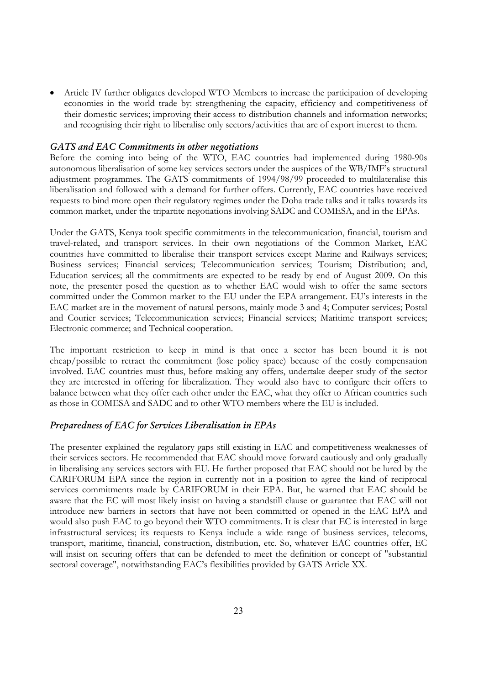• Article IV further obligates developed WTO Members to increase the participation of developing economies in the world trade by: strengthening the capacity, efficiency and competitiveness of their domestic services; improving their access to distribution channels and information networks; and recognising their right to liberalise only sectors/activities that are of export interest to them.

#### *GATS and EAC Commitments in other negotiations*

Before the coming into being of the WTO, EAC countries had implemented during 1980-90s autonomous liberalisation of some key services sectors under the auspices of the WB/IMF's structural adjustment programmes. The GATS commitments of 1994/98/99 proceeded to multilateralise this liberalisation and followed with a demand for further offers. Currently, EAC countries have received requests to bind more open their regulatory regimes under the Doha trade talks and it talks towards its common market, under the tripartite negotiations involving SADC and COMESA, and in the EPAs.

Under the GATS, Kenya took specific commitments in the telecommunication, financial, tourism and travel-related, and transport services. In their own negotiations of the Common Market, EAC countries have committed to liberalise their transport services except Marine and Railways services; Business services; Financial services; Telecommunication services; Tourism; Distribution; and, Education services; all the commitments are expected to be ready by end of August 2009. On this note, the presenter posed the question as to whether EAC would wish to offer the same sectors committed under the Common market to the EU under the EPA arrangement. EU's interests in the EAC market are in the movement of natural persons, mainly mode 3 and 4; Computer services; Postal and Courier services; Telecommunication services; Financial services; Maritime transport services; Electronic commerce; and Technical cooperation.

The important restriction to keep in mind is that once a sector has been bound it is not cheap/possible to retract the commitment (lose policy space) because of the costly compensation involved. EAC countries must thus, before making any offers, undertake deeper study of the sector they are interested in offering for liberalization. They would also have to configure their offers to balance between what they offer each other under the EAC, what they offer to African countries such as those in COMESA and SADC and to other WTO members where the EU is included.

# *Preparedness of EAC for Services Liberalisation in EPAs*

The presenter explained the regulatory gaps still existing in EAC and competitiveness weaknesses of their services sectors. He recommended that EAC should move forward cautiously and only gradually in liberalising any services sectors with EU. He further proposed that EAC should not be lured by the CARIFORUM EPA since the region in currently not in a position to agree the kind of reciprocal services commitments made by CARIFORUM in their EPA. But, he warned that EAC should be aware that the EC will most likely insist on having a standstill clause or guarantee that EAC will not introduce new barriers in sectors that have not been committed or opened in the EAC EPA and would also push EAC to go beyond their WTO commitments. It is clear that EC is interested in large infrastructural services; its requests to Kenya include a wide range of business services, telecoms, transport, maritime, financial, construction, distribution, etc. So, whatever EAC countries offer, EC will insist on securing offers that can be defended to meet the definition or concept of "substantial sectoral coverage", notwithstanding EAC's flexibilities provided by GATS Article XX.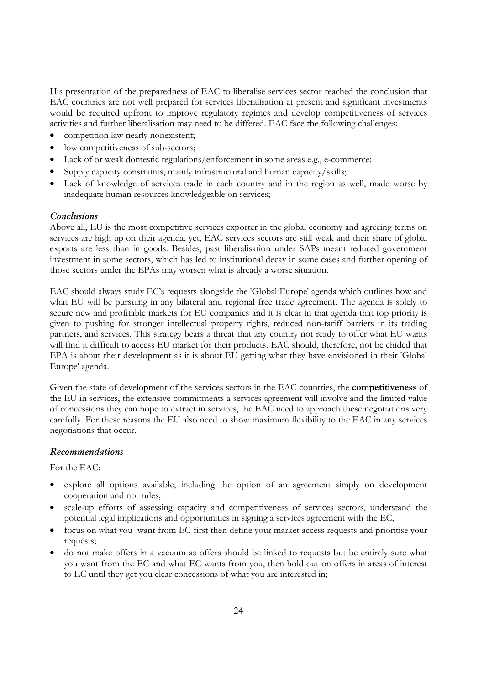His presentation of the preparedness of EAC to liberalise services sector reached the conclusion that EAC countries are not well prepared for services liberalisation at present and significant investments would be required upfront to improve regulatory regimes and develop competitiveness of services activities and further liberalisation may need to be differed. EAC face the following challenges:

- competition law nearly nonexistent;
- low competitiveness of sub-sectors;
- Lack of or weak domestic regulations/enforcement in some areas e.g., e-commerce;
- Supply capacity constraints, mainly infrastructural and human capacity/skills;
- Lack of knowledge of services trade in each country and in the region as well, made worse by inadequate human resources knowledgeable on services;

#### *Conclusions*

Above all, EU is the most competitive services exporter in the global economy and agreeing terms on services are high up on their agenda, yet, EAC services sectors are still weak and their share of global exports are less than in goods. Besides, past liberalisation under SAPs meant reduced government investment in some sectors, which has led to institutional decay in some cases and further opening of those sectors under the EPAs may worsen what is already a worse situation.

EAC should always study EC's requests alongside the 'Global Europe' agenda which outlines how and what EU will be pursuing in any bilateral and regional free trade agreement. The agenda is solely to secure new and profitable markets for EU companies and it is clear in that agenda that top priority is given to pushing for stronger intellectual property rights, reduced non-tariff barriers in its trading partners, and services. This strategy bears a threat that any country not ready to offer what EU wants will find it difficult to access EU market for their products. EAC should, therefore, not be chided that EPA is about their development as it is about EU getting what they have envisioned in their 'Global Europe' agenda.

Given the state of development of the services sectors in the EAC countries, the **competitiveness** of the EU in services, the extensive commitments a services agreement will involve and the limited value of concessions they can hope to extract in services, the EAC need to approach these negotiations very carefully. For these reasons the EU also need to show maximum flexibility to the EAC in any services negotiations that occur.

#### *Recommendations*

For the EAC:

- explore all options available, including the option of an agreement simply on development cooperation and not rules;
- scale-up efforts of assessing capacity and competitiveness of services sectors, understand the potential legal implications and opportunities in signing a services agreement with the EC,
- focus on what you want from EC first then define your market access requests and prioritise your requests;
- do not make offers in a vacuum as offers should be linked to requests but be entirely sure what you want from the EC and what EC wants from you, then hold out on offers in areas of interest to EC until they get you clear concessions of what you are interested in;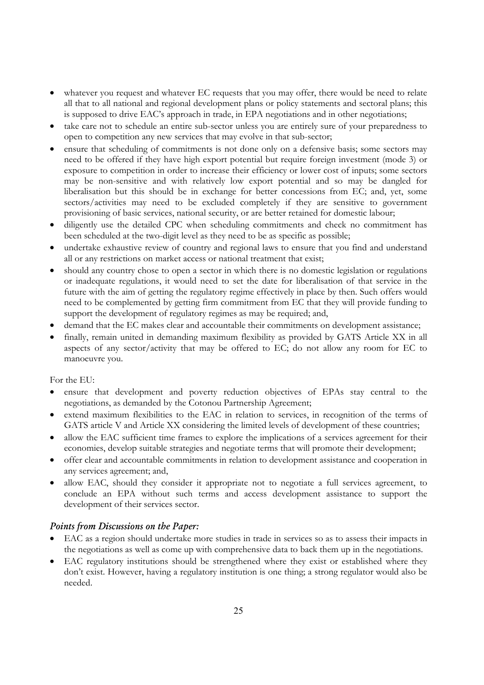- whatever you request and whatever EC requests that you may offer, there would be need to relate all that to all national and regional development plans or policy statements and sectoral plans; this is supposed to drive EAC's approach in trade, in EPA negotiations and in other negotiations;
- take care not to schedule an entire sub-sector unless you are entirely sure of your preparedness to open to competition any new services that may evolve in that sub-sector;
- ensure that scheduling of commitments is not done only on a defensive basis; some sectors may need to be offered if they have high export potential but require foreign investment (mode 3) or exposure to competition in order to increase their efficiency or lower cost of inputs; some sectors may be non-sensitive and with relatively low export potential and so may be dangled for liberalisation but this should be in exchange for better concessions from EC; and, yet, some sectors/activities may need to be excluded completely if they are sensitive to government provisioning of basic services, national security, or are better retained for domestic labour;
- diligently use the detailed CPC when scheduling commitments and check no commitment has been scheduled at the two-digit level as they need to be as specific as possible;
- undertake exhaustive review of country and regional laws to ensure that you find and understand all or any restrictions on market access or national treatment that exist;
- should any country chose to open a sector in which there is no domestic legislation or regulations or inadequate regulations, it would need to set the date for liberalisation of that service in the future with the aim of getting the regulatory regime effectively in place by then. Such offers would need to be complemented by getting firm commitment from EC that they will provide funding to support the development of regulatory regimes as may be required; and,
- demand that the EC makes clear and accountable their commitments on development assistance;
- finally, remain united in demanding maximum flexibility as provided by GATS Article XX in all aspects of any sector/activity that may be offered to EC; do not allow any room for EC to manoeuvre you.

For the EU:

- ensure that development and poverty reduction objectives of EPAs stay central to the negotiations, as demanded by the Cotonou Partnership Agreement;
- extend maximum flexibilities to the EAC in relation to services, in recognition of the terms of GATS article V and Article XX considering the limited levels of development of these countries;
- allow the EAC sufficient time frames to explore the implications of a services agreement for their economies, develop suitable strategies and negotiate terms that will promote their development;
- offer clear and accountable commitments in relation to development assistance and cooperation in any services agreement; and,
- allow EAC, should they consider it appropriate not to negotiate a full services agreement, to conclude an EPA without such terms and access development assistance to support the development of their services sector.

# *Points from Discussions on the Paper:*

- EAC as a region should undertake more studies in trade in services so as to assess their impacts in the negotiations as well as come up with comprehensive data to back them up in the negotiations.
- EAC regulatory institutions should be strengthened where they exist or established where they don't exist. However, having a regulatory institution is one thing; a strong regulator would also be needed.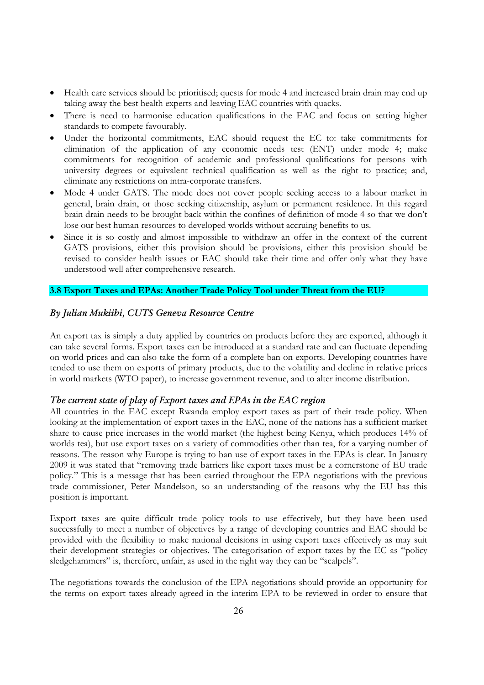- Health care services should be prioritised; quests for mode 4 and increased brain drain may end up taking away the best health experts and leaving EAC countries with quacks.
- There is need to harmonise education qualifications in the EAC and focus on setting higher standards to compete favourably.
- Under the horizontal commitments, EAC should request the EC to: take commitments for elimination of the application of any economic needs test (ENT) under mode 4; make commitments for recognition of academic and professional qualifications for persons with university degrees or equivalent technical qualification as well as the right to practice; and, eliminate any restrictions on intra-corporate transfers.
- Mode 4 under GATS. The mode does not cover people seeking access to a labour market in general, brain drain, or those seeking citizenship, asylum or permanent residence. In this regard brain drain needs to be brought back within the confines of definition of mode 4 so that we don't lose our best human resources to developed worlds without accruing benefits to us.
- Since it is so costly and almost impossible to withdraw an offer in the context of the current GATS provisions, either this provision should be provisions, either this provision should be revised to consider health issues or EAC should take their time and offer only what they have understood well after comprehensive research.

# **3.8 Export Taxes and EPAs: Another Trade Policy Tool under Threat from the EU?**

## *By Julian Mukiibi, CUTS Geneva Resource Centre*

An export tax is simply a duty applied by countries on products before they are exported, although it can take several forms. Export taxes can be introduced at a standard rate and can fluctuate depending on world prices and can also take the form of a complete ban on exports. Developing countries have tended to use them on exports of primary products, due to the volatility and decline in relative prices in world markets (WTO paper), to increase government revenue, and to alter income distribution.

## *The current state of play of Export taxes and EPAs in the EAC region*

All countries in the EAC except Rwanda employ export taxes as part of their trade policy. When looking at the implementation of export taxes in the EAC, none of the nations has a sufficient market share to cause price increases in the world market (the highest being Kenya, which produces 14% of worlds tea), but use export taxes on a variety of commodities other than tea, for a varying number of reasons. The reason why Europe is trying to ban use of export taxes in the EPAs is clear. In January 2009 it was stated that "removing trade barriers like export taxes must be a cornerstone of EU trade policy." This is a message that has been carried throughout the EPA negotiations with the previous trade commissioner, Peter Mandelson, so an understanding of the reasons why the EU has this position is important.

Export taxes are quite difficult trade policy tools to use effectively, but they have been used successfully to meet a number of objectives by a range of developing countries and EAC should be provided with the flexibility to make national decisions in using export taxes effectively as may suit their development strategies or objectives. The categorisation of export taxes by the EC as "policy sledgehammers" is, therefore, unfair, as used in the right way they can be "scalpels".

The negotiations towards the conclusion of the EPA negotiations should provide an opportunity for the terms on export taxes already agreed in the interim EPA to be reviewed in order to ensure that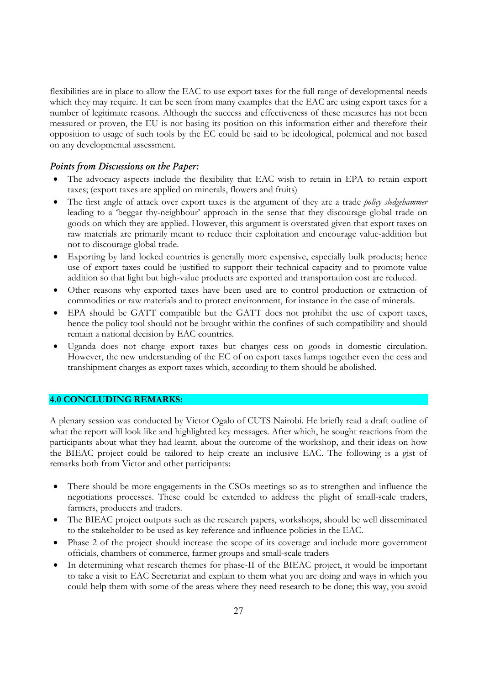flexibilities are in place to allow the EAC to use export taxes for the full range of developmental needs which they may require. It can be seen from many examples that the EAC are using export taxes for a number of legitimate reasons. Although the success and effectiveness of these measures has not been measured or proven, the EU is not basing its position on this information either and therefore their opposition to usage of such tools by the EC could be said to be ideological, polemical and not based on any developmental assessment.

# *Points from Discussions on the Paper:*

- The advocacy aspects include the flexibility that EAC wish to retain in EPA to retain export taxes; (export taxes are applied on minerals, flowers and fruits)
- The first angle of attack over export taxes is the argument of they are a trade *policy sledgehammer* leading to a 'beggar thy-neighbour' approach in the sense that they discourage global trade on goods on which they are applied. However, this argument is overstated given that export taxes on raw materials are primarily meant to reduce their exploitation and encourage value-addition but not to discourage global trade.
- Exporting by land locked countries is generally more expensive, especially bulk products; hence use of export taxes could be justified to support their technical capacity and to promote value addition so that light but high-value products are exported and transportation cost are reduced.
- Other reasons why exported taxes have been used are to control production or extraction of commodities or raw materials and to protect environment, for instance in the case of minerals.
- EPA should be GATT compatible but the GATT does not prohibit the use of export taxes, hence the policy tool should not be brought within the confines of such compatibility and should remain a national decision by EAC countries.
- Uganda does not charge export taxes but charges cess on goods in domestic circulation. However, the new understanding of the EC of on export taxes lumps together even the cess and transhipment charges as export taxes which, according to them should be abolished.

# **4.0 CONCLUDING REMARKS:**

A plenary session was conducted by Victor Ogalo of CUTS Nairobi. He briefly read a draft outline of what the report will look like and highlighted key messages. After which, he sought reactions from the participants about what they had learnt, about the outcome of the workshop, and their ideas on how the BIEAC project could be tailored to help create an inclusive EAC. The following is a gist of remarks both from Victor and other participants:

- There should be more engagements in the CSOs meetings so as to strengthen and influence the negotiations processes. These could be extended to address the plight of small-scale traders, farmers, producers and traders.
- The BIEAC project outputs such as the research papers, workshops, should be well disseminated to the stakeholder to be used as key reference and influence policies in the EAC.
- Phase 2 of the project should increase the scope of its coverage and include more government officials, chambers of commerce, farmer groups and small-scale traders
- In determining what research themes for phase-II of the BIEAC project, it would be important to take a visit to EAC Secretariat and explain to them what you are doing and ways in which you could help them with some of the areas where they need research to be done; this way, you avoid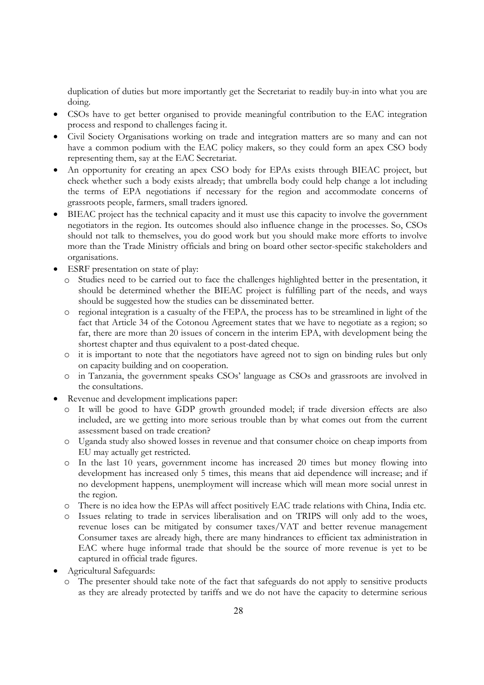duplication of duties but more importantly get the Secretariat to readily buy-in into what you are doing.

- CSOs have to get better organised to provide meaningful contribution to the EAC integration process and respond to challenges facing it.
- Civil Society Organisations working on trade and integration matters are so many and can not have a common podium with the EAC policy makers, so they could form an apex CSO body representing them, say at the EAC Secretariat.
- An opportunity for creating an apex CSO body for EPAs exists through BIEAC project, but check whether such a body exists already; that umbrella body could help change a lot including the terms of EPA negotiations if necessary for the region and accommodate concerns of grassroots people, farmers, small traders ignored.
- BIEAC project has the technical capacity and it must use this capacity to involve the government negotiators in the region. Its outcomes should also influence change in the processes. So, CSOs should not talk to themselves, you do good work but you should make more efforts to involve more than the Trade Ministry officials and bring on board other sector-specific stakeholders and organisations.
- ESRF presentation on state of play:
	- o Studies need to be carried out to face the challenges highlighted better in the presentation, it should be determined whether the BIEAC project is fulfilling part of the needs, and ways should be suggested how the studies can be disseminated better.
	- o regional integration is a casualty of the FEPA, the process has to be streamlined in light of the fact that Article 34 of the Cotonou Agreement states that we have to negotiate as a region; so far, there are more than 20 issues of concern in the interim EPA, with development being the shortest chapter and thus equivalent to a post-dated cheque.
	- o it is important to note that the negotiators have agreed not to sign on binding rules but only on capacity building and on cooperation.
	- o in Tanzania, the government speaks CSOs' language as CSOs and grassroots are involved in the consultations.
- Revenue and development implications paper:
	- It will be good to have GDP growth grounded model; if trade diversion effects are also included, are we getting into more serious trouble than by what comes out from the current assessment based on trade creation?
	- o Uganda study also showed losses in revenue and that consumer choice on cheap imports from EU may actually get restricted.
	- o In the last 10 years, government income has increased 20 times but money flowing into development has increased only 5 times, this means that aid dependence will increase; and if no development happens, unemployment will increase which will mean more social unrest in the region.
	- o There is no idea how the EPAs will affect positively EAC trade relations with China, India etc.
	- o Issues relating to trade in services liberalisation and on TRIPS will only add to the woes, revenue loses can be mitigated by consumer taxes/VAT and better revenue management Consumer taxes are already high, there are many hindrances to efficient tax administration in EAC where huge informal trade that should be the source of more revenue is yet to be captured in official trade figures.
- Agricultural Safeguards:
	- o The presenter should take note of the fact that safeguards do not apply to sensitive products as they are already protected by tariffs and we do not have the capacity to determine serious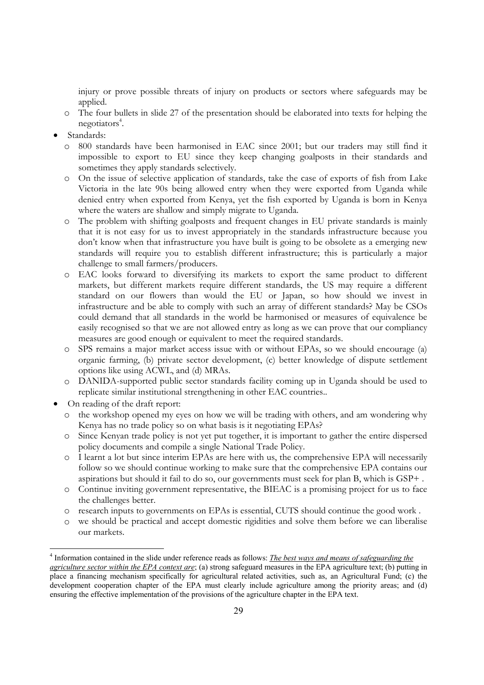injury or prove possible threats of injury on products or sectors where safeguards may be applied.

- o The four bullets in slide 27 of the presentation should be elaborated into texts for helping the negotiators<sup>4</sup>.
- Standards:
	- o 800 standards have been harmonised in EAC since 2001; but our traders may still find it impossible to export to EU since they keep changing goalposts in their standards and sometimes they apply standards selectively.
	- o On the issue of selective application of standards, take the case of exports of fish from Lake Victoria in the late 90s being allowed entry when they were exported from Uganda while denied entry when exported from Kenya, yet the fish exported by Uganda is born in Kenya where the waters are shallow and simply migrate to Uganda.
	- o The problem with shifting goalposts and frequent changes in EU private standards is mainly that it is not easy for us to invest appropriately in the standards infrastructure because you don't know when that infrastructure you have built is going to be obsolete as a emerging new standards will require you to establish different infrastructure; this is particularly a major challenge to small farmers/producers.
	- o EAC looks forward to diversifying its markets to export the same product to different markets, but different markets require different standards, the US may require a different standard on our flowers than would the EU or Japan, so how should we invest in infrastructure and be able to comply with such an array of different standards? May be CSOs could demand that all standards in the world be harmonised or measures of equivalence be easily recognised so that we are not allowed entry as long as we can prove that our compliancy measures are good enough or equivalent to meet the required standards.
	- o SPS remains a major market access issue with or without EPAs, so we should encourage (a) organic farming, (b) private sector development, (c) better knowledge of dispute settlement options like using ACWL, and (d) MRAs.
	- o DANIDA-supported public sector standards facility coming up in Uganda should be used to replicate similar institutional strengthening in other EAC countries..
- On reading of the draft report:

 $\overline{a}$ 

- o the workshop opened my eyes on how we will be trading with others, and am wondering why Kenya has no trade policy so on what basis is it negotiating EPAs?
- Since Kenyan trade policy is not yet put together, it is important to gather the entire dispersed policy documents and compile a single National Trade Policy.
- o I learnt a lot but since interim EPAs are here with us, the comprehensive EPA will necessarily follow so we should continue working to make sure that the comprehensive EPA contains our aspirations but should it fail to do so, our governments must seek for plan B, which is GSP+ .
- o Continue inviting government representative, the BIEAC is a promising project for us to face the challenges better.
- o research inputs to governments on EPAs is essential, CUTS should continue the good work .
- o we should be practical and accept domestic rigidities and solve them before we can liberalise our markets.

<sup>4</sup> Information contained in the slide under reference reads as follows: *The best ways and means of safeguarding the agriculture sector within the EPA context are*; (a) strong safeguard measures in the EPA agriculture text; (b) putting in place a financing mechanism specifically for agricultural related activities, such as, an Agricultural Fund; (c) the development cooperation chapter of the EPA must clearly include agriculture among the priority areas; and (d) ensuring the effective implementation of the provisions of the agriculture chapter in the EPA text.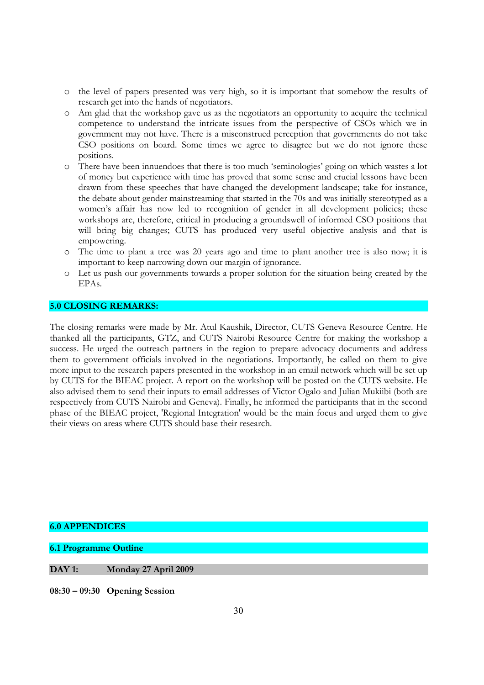- o the level of papers presented was very high, so it is important that somehow the results of research get into the hands of negotiators.
- o Am glad that the workshop gave us as the negotiators an opportunity to acquire the technical competence to understand the intricate issues from the perspective of CSOs which we in government may not have. There is a misconstrued perception that governments do not take CSO positions on board. Some times we agree to disagree but we do not ignore these positions.
- There have been innuendoes that there is too much 'seminologies' going on which wastes a lot of money but experience with time has proved that some sense and crucial lessons have been drawn from these speeches that have changed the development landscape; take for instance, the debate about gender mainstreaming that started in the 70s and was initially stereotyped as a women's affair has now led to recognition of gender in all development policies; these workshops are, therefore, critical in producing a groundswell of informed CSO positions that will bring big changes; CUTS has produced very useful objective analysis and that is empowering.
- o The time to plant a tree was 20 years ago and time to plant another tree is also now; it is important to keep narrowing down our margin of ignorance.
- o Let us push our governments towards a proper solution for the situation being created by the EPAs.

#### **5.0 CLOSING REMARKS:**

The closing remarks were made by Mr. Atul Kaushik, Director, CUTS Geneva Resource Centre. He thanked all the participants, GTZ, and CUTS Nairobi Resource Centre for making the workshop a success. He urged the outreach partners in the region to prepare advocacy documents and address them to government officials involved in the negotiations. Importantly, he called on them to give more input to the research papers presented in the workshop in an email network which will be set up by CUTS for the BIEAC project. A report on the workshop will be posted on the CUTS website. He also advised them to send their inputs to email addresses of Victor Ogalo and Julian Mukiibi (both are respectively from CUTS Nairobi and Geneva). Finally, he informed the participants that in the second phase of the BIEAC project, 'Regional Integration' would be the main focus and urged them to give their views on areas where CUTS should base their research.

#### **6.0 APPENDICES**

**6.1 Programme Outline** 

**DAY 1: Monday 27 April 2009** 

**08:30 – 09:30 Opening Session**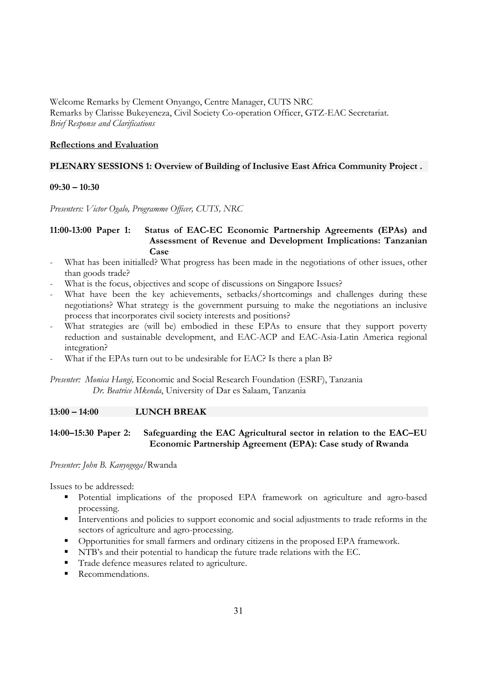Welcome Remarks by Clement Onyango, Centre Manager, CUTS NRC Remarks by Clarisse Bukeyeneza, Civil Society Co-operation Officer, GTZ-EAC Secretariat. *Brief Response and Clarifications* 

## **Reflections and Evaluation**

# **PLENARY SESSIONS 1: Overview of Building of Inclusive East Africa Community Project .**

#### **09:30 – 10:30**

*Presenters: Victor Ogalo, Programme Officer, CUTS, NRC* 

# **11:00-13:00 Paper 1: Status of EAC-EC Economic Partnership Agreements (EPAs) and Assessment of Revenue and Development Implications: Tanzanian Case**

- What has been initialled? What progress has been made in the negotiations of other issues, other than goods trade?
- What is the focus, objectives and scope of discussions on Singapore Issues?
- What have been the key achievements, setbacks/shortcomings and challenges during these negotiations? What strategy is the government pursuing to make the negotiations an inclusive process that incorporates civil society interests and positions?
- What strategies are (will be) embodied in these EPAs to ensure that they support poverty reduction and sustainable development, and EAC-ACP and EAC-Asia-Latin America regional integration?
- What if the EPAs turn out to be undesirable for EAC? Is there a plan B?

*Presenter: Monica Hangi,* Economic and Social Research Foundation (ESRF), Tanzania *Dr. Beatrice Mkenda*, University of Dar es Salaam, Tanzania

#### **13:00 – 14:00 LUNCH BREAK**

# **14:00–15:30 Paper 2: Safeguarding the EAC Agricultural sector in relation to the EAC–EU Economic Partnership Agreement (EPA): Case study of Rwanda**

#### *Presenter: John B. Kanyogoga*/Rwanda

Issues to be addressed:

- Potential implications of the proposed EPA framework on agriculture and agro-based processing.
- Interventions and policies to support economic and social adjustments to trade reforms in the sectors of agriculture and agro-processing.
- Opportunities for small farmers and ordinary citizens in the proposed EPA framework.
- NTB's and their potential to handicap the future trade relations with the EC.
- Trade defence measures related to agriculture.
- Recommendations.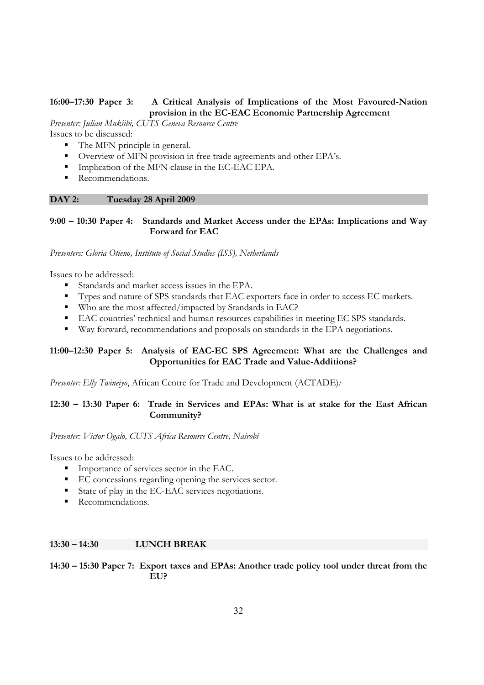# **16:00–17:30 Paper 3: A Critical Analysis of Implications of the Most Favoured-Nation provision in the EC-EAC Economic Partnership Agreement**

*Presenter: Julian Mukiibi, CUTS Geneva Resource Centre* 

Issues to be discussed:

- The MFN principle in general.
- Overview of MFN provision in free trade agreements and other EPA's.
- Implication of the MFN clause in the EC-EAC EPA.
- Recommendations.

# **DAY 2: Tuesday 28 April 2009**

# **9:00 – 10:30 Paper 4: Standards and Market Access under the EPAs: Implications and Way Forward for EAC**

*Presenters: Gloria Otieno, Institute of Social Studies (ISS), Netherlands*

Issues to be addressed:

- Standards and market access issues in the EPA.
- Types and nature of SPS standards that EAC exporters face in order to access EC markets.
- Who are the most affected/impacted by Standards in EAC?
- EAC countries' technical and human resources capabilities in meeting EC SPS standards.
- Way forward, recommendations and proposals on standards in the EPA negotiations.

# **11:00–12:30 Paper 5: Analysis of EAC-EC SPS Agreement: What are the Challenges and Opportunities for EAC Trade and Value-Additions?**

*Presenter: Elly Twineiyo*, African Centre for Trade and Development (ACTADE)*:* 

# **12:30 – 13:30 Paper 6: Trade in Services and EPAs: What is at stake for the East African Community?**

*Presenter: Victor Ogalo, CUTS Africa Resource Centre, Nairobi* 

Issues to be addressed:

- Importance of services sector in the EAC.
- EC concessions regarding opening the services sector.
- State of play in the EC-EAC services negotiations.
- Recommendations.

# **13:30 – 14:30 LUNCH BREAK**

# **14:30 – 15:30 Paper 7: Export taxes and EPAs: Another trade policy tool under threat from the EU?**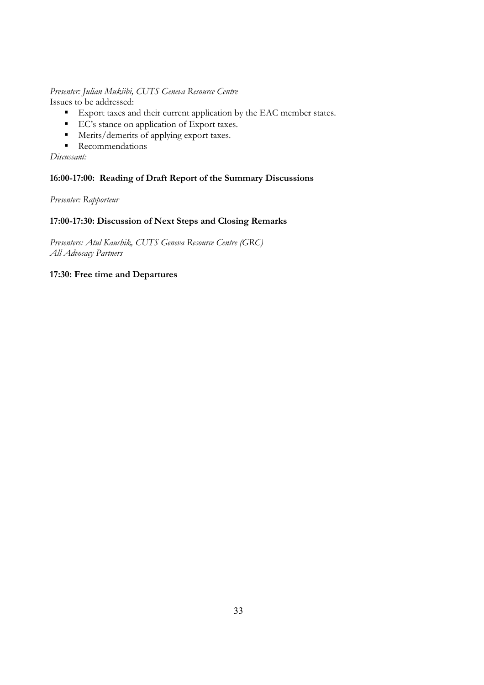# *Presenter: Julian Mukiibi, CUTS Geneva Resource Centre*

Issues to be addressed:

- Export taxes and their current application by the EAC member states.
- EC's stance on application of Export taxes.
- Merits/demerits of applying export taxes.
- **Recommendations**

*Discussant:* 

# **16:00-17:00: Reading of Draft Report of the Summary Discussions**

*Presenter: Rapporteur* 

# **17:00-17:30: Discussion of Next Steps and Closing Remarks**

*Presenters: Atul Kaushik, CUTS Geneva Resource Centre (GRC) All Advocacy Partners* 

# **17:30: Free time and Departures**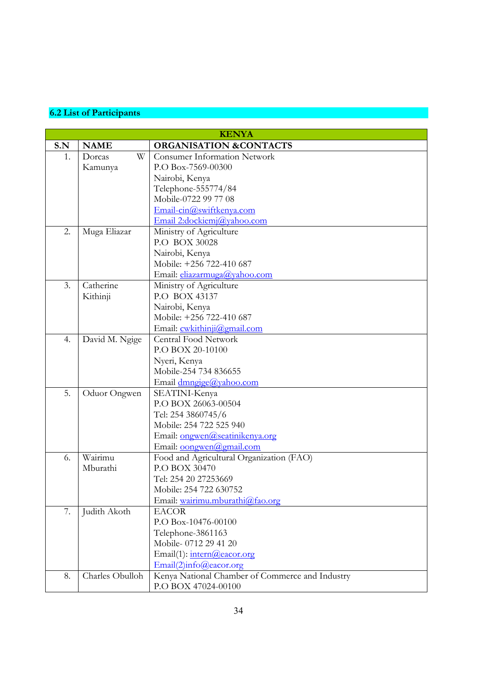# **6.2 List of Participants**

| <b>KENYA</b> |                 |                                                 |  |
|--------------|-----------------|-------------------------------------------------|--|
| S.N          | <b>NAME</b>     | <b>ORGANISATION &amp;CONTACTS</b>               |  |
| 1.           | W<br>Dorcas     | <b>Consumer Information Network</b>             |  |
|              | Kamunya         | P.O Box-7569-00300                              |  |
|              |                 | Nairobi, Kenya                                  |  |
|              |                 | Telephone-555774/84                             |  |
|              |                 | Mobile-0722 99 77 08                            |  |
|              |                 | Email-cin@swiftkenya.com                        |  |
|              |                 | Email 2:dockiemj@yahoo.com                      |  |
| 2.           | Muga Eliazar    | Ministry of Agriculture                         |  |
|              |                 | P.O BOX 30028                                   |  |
|              |                 | Nairobi, Kenya                                  |  |
|              |                 | Mobile: +256 722-410 687                        |  |
|              |                 | Email: eliazarmuga@yahoo.com                    |  |
| 3.           | Catherine       | Ministry of Agriculture                         |  |
|              | Kithinji        | P.O BOX 43137                                   |  |
|              |                 | Nairobi, Kenya                                  |  |
|              |                 | Mobile: +256 722-410 687                        |  |
|              |                 | Email: cwkithinji@gmail.com                     |  |
| 4.           | David M. Ngige  | <b>Central Food Network</b>                     |  |
|              |                 | P.O BOX 20-10100                                |  |
|              |                 | Nyeri, Kenya                                    |  |
|              |                 | Mobile-254 734 836655                           |  |
|              |                 | Email dmngige@yahoo.com                         |  |
| 5.           | Oduor Ongwen    | SEATINI-Kenya                                   |  |
|              |                 | P.O BOX 26063-00504                             |  |
|              |                 | Tel: 254 3860745/6                              |  |
|              |                 | Mobile: 254 722 525 940                         |  |
|              |                 | Email: ongwen@seatinikenya.org                  |  |
|              |                 | Email: oongwen@gmail.com                        |  |
| 6.           | Wairimu         | Food and Agricultural Organization (FAO)        |  |
|              | Mburathi        | P.O BOX 30470                                   |  |
|              |                 | Tel: 254 20 27253669                            |  |
|              |                 | Mobile: 254 722 630752                          |  |
|              |                 | Email: wairimu.mburathi@fao.org                 |  |
| 7.           | Judith Akoth    | <b>EACOR</b>                                    |  |
|              |                 | P.O Box-10476-00100                             |  |
|              |                 | Telephone-3861163                               |  |
|              |                 | Mobile-0712 29 41 20                            |  |
|              |                 | Email(1): intern@eacor.org                      |  |
|              |                 | Email(2)info@eacor.org                          |  |
| 8.           | Charles Obulloh | Kenya National Chamber of Commerce and Industry |  |
|              |                 | P.O BOX 47024-00100                             |  |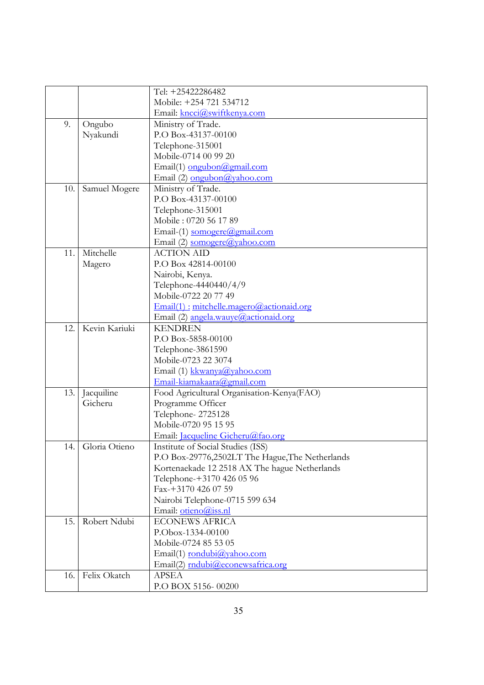|     |                   | Tel: +25422286482                               |
|-----|-------------------|-------------------------------------------------|
|     |                   | Mobile: +254 721 534712                         |
|     |                   | Email: kncci@swiftkenya.com                     |
| 9.  | Ongubo            | Ministry of Trade.                              |
|     | Nyakundi          | P.O Box-43137-00100                             |
|     |                   | Telephone-315001                                |
|     |                   | Mobile-0714 00 99 20                            |
|     |                   | Email(1) ongubon@gmail.com                      |
|     |                   | Email (2) ongubon@yahoo.com                     |
| 10. | Samuel Mogere     | Ministry of Trade.                              |
|     |                   | P.O Box-43137-00100                             |
|     |                   | Telephone-315001                                |
|     |                   | Mobile: 0720 56 17 89                           |
|     |                   | Email-(1) somogere@gmail.com                    |
|     |                   | Email (2) somogere@yahoo.com                    |
| 11. | Mitchelle         | <b>ACTION AID</b>                               |
|     | Magero            | P.O Box 42814-00100                             |
|     |                   | Nairobi, Kenya.                                 |
|     |                   | Telephone-4440440/4/9                           |
|     |                   | Mobile-0722 20 77 49                            |
|     |                   | Email(1): mitchelle.magero@actionaid.org        |
|     |                   | Email (2) angela.wauye@actionaid.org            |
| 12. | Kevin Kariuki     | <b>KENDREN</b>                                  |
|     |                   | P.O Box-5858-00100                              |
|     |                   | Telephone-3861590                               |
|     |                   | Mobile-0723 22 3074                             |
|     |                   | Email (1) kkwanya@yahoo.com                     |
|     |                   | Email-kiamakaara@gmail.com                      |
| 13. | Jacquiline        | Food Agricultural Organisation-Kenya(FAO)       |
|     | Gicheru           | Programme Officer                               |
|     |                   | Telephone-2725128                               |
|     |                   | Mobile-0720 95 15 95                            |
|     |                   | Email: <i>Jacqueline Gicheru@fao.org</i>        |
|     | 14. Gloria Otieno | Institute of Social Studies (ISS)               |
|     |                   | P.O Box-29776,2502LT The Hague, The Netherlands |
|     |                   | Kortenaekade 12 2518 AX The hague Netherlands   |
|     |                   | Telephone-+3170 426 05 96                       |
|     |                   | Fax-+3170 426 07 59                             |
|     |                   | Nairobi Telephone-0715 599 634                  |
|     |                   | Email: otieno@iss.nl                            |
| 15. | Robert Ndubi      | <b>ECONEWS AFRICA</b>                           |
|     |                   | P.Obox-1334-00100                               |
|     |                   | Mobile-0724 85 53 05                            |
|     |                   | Email(1) rondubi@yahoo.com                      |
|     |                   | Email(2) mdubi@econewsafrica.org                |
| 16. | Felix Okatch      | <b>APSEA</b>                                    |
|     |                   | P.O BOX 5156-00200                              |
|     |                   |                                                 |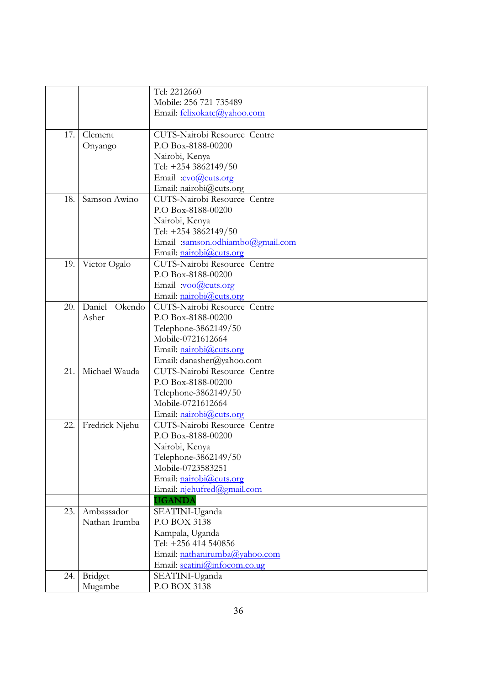|     |                  | Tel: 2212660                    |
|-----|------------------|---------------------------------|
|     |                  | Mobile: 256 721 735489          |
|     |                  | Email: felixokatc@yahoo.com     |
|     |                  |                                 |
| 17. | Clement          | CUTS-Nairobi Resource Centre    |
|     | Onyango          | P.O Box-8188-00200              |
|     |                  | Nairobi, Kenya                  |
|     |                  | Tel: +254 3862149/50            |
|     |                  | Email:cvo@cuts.org              |
|     |                  | Email: nairobi@cuts.org         |
| 18. | Samson Awino     | CUTS-Nairobi Resource Centre    |
|     |                  | P.O Box-8188-00200              |
|     |                  | Nairobi, Kenya                  |
|     |                  | Tel: +254 3862149/50            |
|     |                  | Email:samson.odhiambo@gmail.com |
|     |                  | Email: nairobi@cuts.org         |
| 19. | Victor Ogalo     | CUTS-Nairobi Resource Centre    |
|     |                  | P.O Box-8188-00200              |
|     |                  | Email :voo@cuts.org             |
|     |                  | Email: nairobi@cuts.org         |
| 20. | Daniel<br>Okendo | CUTS-Nairobi Resource Centre    |
|     | Asher            | P.O Box-8188-00200              |
|     |                  | Telephone-3862149/50            |
|     |                  | Mobile-0721612664               |
|     |                  | Email: nairobi@cuts.org         |
|     |                  | Email: danasher@yahoo.com       |
| 21. | Michael Wauda    | CUTS-Nairobi Resource Centre    |
|     |                  | P.O Box-8188-00200              |
|     |                  | Telephone-3862149/50            |
|     |                  | Mobile-0721612664               |
|     |                  | Email: nairobi@cuts.org         |
| 22. | Fredrick Njehu   | CUTS-Nairobi Resource Centre    |
|     |                  | P.O Box-8188-00200              |
|     |                  | Nairobi, Kenya                  |
|     |                  | Telephone-3862149/50            |
|     |                  | Mobile-0723583251               |
|     |                  | Email: nairobi@cuts.org         |
|     |                  | Email: niehufred@gmail.com      |
|     |                  | <b>UGANDA</b>                   |
| 23. | Ambassador       | SEATINI-Uganda                  |
|     | Nathan Irumba    | <b>P.O BOX 3138</b>             |
|     |                  | Kampala, Uganda                 |
|     |                  | Tel: +256 414 540856            |
|     |                  | Email: nathanirumba@yahoo.com   |
|     |                  | Email: seatini@infocom.co.ug    |
| 24. | <b>Bridget</b>   | SEATINI-Uganda                  |
|     | Mugambe          | P.O BOX 3138                    |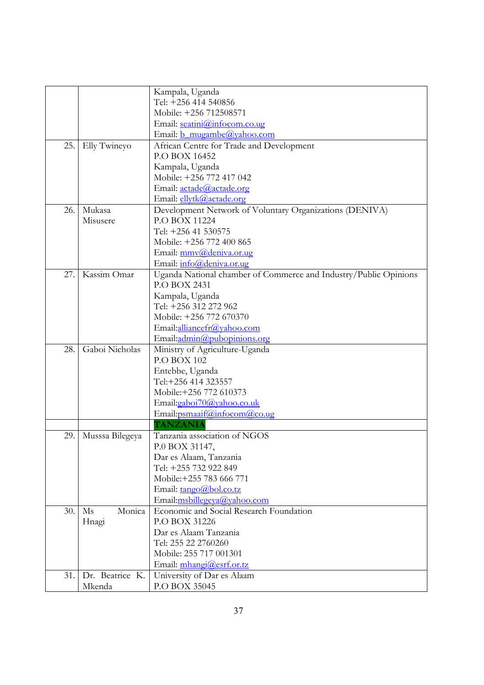|     |                 | Kampala, Uganda                                                  |
|-----|-----------------|------------------------------------------------------------------|
|     |                 | Tel: +256 414 540856                                             |
|     |                 | Mobile: +256 712508571                                           |
|     |                 | Email: seatini@infocom.co.ug                                     |
|     |                 | Email: b mugambe@yahoo.com                                       |
| 25. | Elly Twineyo    | African Centre for Trade and Development                         |
|     |                 | P.O BOX 16452                                                    |
|     |                 | Kampala, Uganda                                                  |
|     |                 | Mobile: +256 772 417 042                                         |
|     |                 | Email: actade@actade.org                                         |
|     |                 | Email: ellytk@actade.org                                         |
| 26. | Mukasa          | Development Network of Voluntary Organizations (DENIVA)          |
|     | Misusere        | P.O BOX 11224                                                    |
|     |                 | Tel: +256 41 530575                                              |
|     |                 | Mobile: +256 772 400 865                                         |
|     |                 | Email: mmv@deniva.or.ug                                          |
|     |                 | Email: info@deniva.or.ug                                         |
| 27. | Kassim Omar     | Uganda National chamber of Commerce and Industry/Public Opinions |
|     |                 | <b>P.O BOX 2431</b>                                              |
|     |                 | Kampala, Uganda                                                  |
|     |                 | Tel: +256 312 272 962                                            |
|     |                 | Mobile: +256 772 670370                                          |
|     |                 | Email:alliancefr@yahoo.com                                       |
|     |                 | Email:admin@pubopinions.org                                      |
| 28. | Gaboi Nicholas  | Ministry of Agriculture-Uganda                                   |
|     |                 | <b>P.O BOX 102</b>                                               |
|     |                 | Entebbe, Uganda                                                  |
|     |                 | Tel:+256 414 323557                                              |
|     |                 | Mobile: +256 772 610373                                          |
|     |                 | Email:gaboi70@yahoo.co.uk                                        |
|     |                 | Email: psmaaif@infocom@co.ug                                     |
|     |                 | <b>TANZANIA</b>                                                  |
| 29. | Musssa Bilegeya | Tanzania association of NGOS                                     |
|     |                 | P.0 BOX 31147,                                                   |
|     |                 | Dar es Alaam, Tanzania                                           |
|     |                 | Tel: +255 732 922 849                                            |
|     |                 | Mobile: +255 783 666 771                                         |
|     |                 | Email: tango@bol.co.tz                                           |
|     |                 | Email:msbillegeya@yahoo.com                                      |
| 30. | Monica<br>Ms    | Economic and Social Research Foundation                          |
|     | Hnagi           | P.O BOX 31226                                                    |
|     |                 | Dar es Alaam Tanzania                                            |
|     |                 | Tel: 255 22 2760260                                              |
|     |                 | Mobile: 255 717 001301                                           |
|     |                 | Email: mhangi@esrf.or.tz                                         |
| 31. | Dr. Beatrice K. | University of Dar es Alaam                                       |
|     | Mkenda          | P.O BOX 35045                                                    |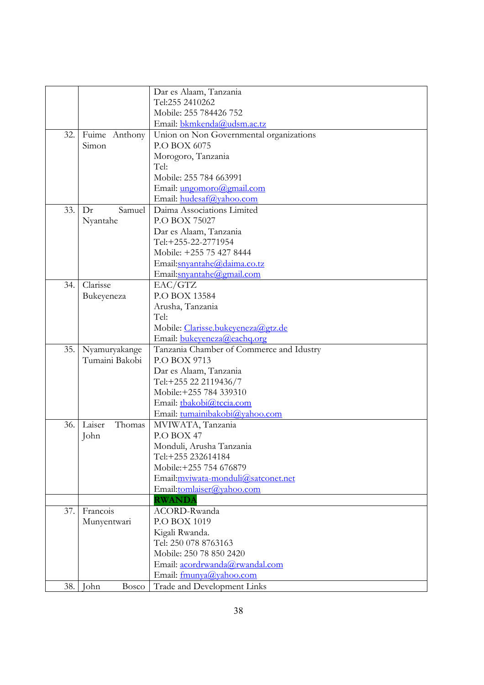|     |                  | Dar es Alaam, Tanzania                   |
|-----|------------------|------------------------------------------|
|     |                  | Tel:255 2410262                          |
|     |                  | Mobile: 255 784426 752                   |
|     |                  | Email: bkmkenda@udsm.ac.tz               |
| 32. | Fuime Anthony    | Union on Non Governmental organizations  |
|     | Simon            | P.O BOX 6075                             |
|     |                  | Morogoro, Tanzania                       |
|     |                  | Tel:                                     |
|     |                  | Mobile: 255 784 663991                   |
|     |                  | Email: <i>ungomoro@gmail.com</i>         |
|     |                  | Email: hudesaf@yahoo.com                 |
| 33. | Samuel<br>Dr     | Daima Associations Limited               |
|     | Nyantahe         | P.O BOX 75027                            |
|     |                  | Dar es Alaam, Tanzania                   |
|     |                  | Tel:+255-22-2771954                      |
|     |                  | Mobile: +255 75 427 8444                 |
|     |                  | Email:snyantahe@daima.co.tz              |
|     |                  | Email:snyantahe@gmail.com                |
| 34. | Clarisse         | EAC/GTZ                                  |
|     | Bukeyeneza       | P.O BOX 13584                            |
|     |                  | Arusha, Tanzania                         |
|     |                  | Tel:                                     |
|     |                  | Mobile: Clarisse.bukeyeneza@gtz.de       |
|     |                  | Email: bukeyeneza@eachq.org              |
| 35. | Nyamuryakange    | Tanzania Chamber of Commerce and Idustry |
|     | Tumaini Bakobi   | P.O BOX 9713                             |
|     |                  | Dar es Alaam, Tanzania                   |
|     |                  | Tel:+255 22 2119436/7                    |
|     |                  | Mobile: +255 784 339310                  |
|     |                  | Email: tbakobi@tccia.com                 |
|     |                  | Email: tumainibakobi@yahoo.com           |
| 36. | Laiser<br>Thomas | MVIWATA, Tanzania                        |
|     | John             | P.O BOX 47                               |
|     |                  | Monduli, Arusha Tanzania                 |
|     |                  | Tel:+255 232614184                       |
|     |                  | Mobile:+255 754 676879                   |
|     |                  | Email:mviwata-monduli@satconet.net       |
|     |                  | Email:tomlaiser@yahoo.com                |
|     |                  | <b>RWANDA</b>                            |
| 37. | Francois         | ACORD-Rwanda                             |
|     | Munyentwari      | P.O BOX 1019                             |
|     |                  | Kigali Rwanda.                           |
|     |                  | Tel: 250 078 8763163                     |
|     |                  | Mobile: 250 78 850 2420                  |
|     |                  | Email: acordrwanda@rwandal.com           |
|     |                  | Email: fmunya@yahoo.com                  |
| 38. | John<br>Bosco    | Trade and Development Links              |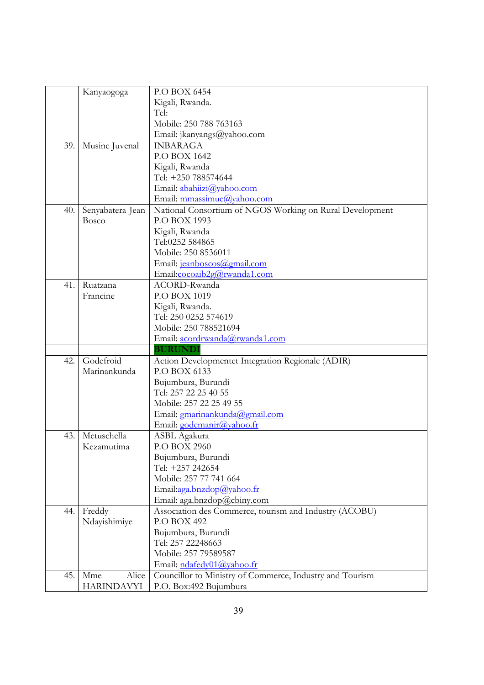|     | Kanyaogoga        | P.O BOX 6454                                             |
|-----|-------------------|----------------------------------------------------------|
|     |                   | Kigali, Rwanda.                                          |
|     |                   | Tel:                                                     |
|     |                   | Mobile: 250 788 763163                                   |
|     |                   | Email: jkanyangs@yahoo.com                               |
| 39. | Musine Juvenal    | <b>INBARAGA</b>                                          |
|     |                   | P.O BOX 1642                                             |
|     |                   | Kigali, Rwanda                                           |
|     |                   | Tel: +250 788574644                                      |
|     |                   | Email: abahiizi@yahoo.com                                |
|     |                   | Email: mmassimue@yahoo.com                               |
| 40. | Senyabatera Jean  | National Consortium of NGOS Working on Rural Development |
|     | <b>Bosco</b>      | P.O BOX 1993                                             |
|     |                   | Kigali, Rwanda                                           |
|     |                   | Tel:0252 584865                                          |
|     |                   | Mobile: 250 8536011                                      |
|     |                   | Email: jeanboscos@gmail.com                              |
|     |                   | Email:cocoaib2g@rwanda1.com                              |
| 41. | Ruatzana          | ACORD-Rwanda                                             |
|     | Francine          | P.O BOX 1019                                             |
|     |                   | Kigali, Rwanda.                                          |
|     |                   | Tel: 250 0252 574619                                     |
|     |                   | Mobile: 250 788521694                                    |
|     |                   | Email: acordrwanda@rwanda1.com                           |
|     |                   | <b>BURUNDI</b>                                           |
| 42. | Godefroid         | Action Developmentet Integration Regionale (ADIR)        |
|     | Marinankunda      | P.O BOX 6133                                             |
|     |                   | Bujumbura, Burundi                                       |
|     |                   | Tel: 257 22 25 40 55                                     |
|     |                   | Mobile: 257 22 25 49 55                                  |
|     |                   | Email: gmarinankunda@gmail.com                           |
|     |                   | Email: godemanir@yahoo.fr                                |
| 43. | Metuschella       | ASBL Agakura                                             |
|     | Kezamutima        | P.O BOX 2960                                             |
|     |                   | Bujumbura, Burundi                                       |
|     |                   | Tel: +257 242654                                         |
|     |                   | Mobile: 257 77 741 664                                   |
|     |                   | Email:aga.bnzdop@yahoo.fr                                |
|     |                   | Email: aga.bnzdop@cbiny.com                              |
| 44. | Freddy            | Association des Commerce, tourism and Industry (ACOBU)   |
|     | Ndayishimiye      | P.O BOX 492                                              |
|     |                   | Bujumbura, Burundi                                       |
|     |                   | Tel: 257 22248663                                        |
|     |                   | Mobile: 257 79589587                                     |
|     |                   | Email: ndafedy01@yahoo.fr                                |
| 45. | Alice<br>Mme      | Councillor to Ministry of Commerce, Industry and Tourism |
|     | <b>HARINDAVYI</b> | P.O. Box:492 Bujumbura                                   |